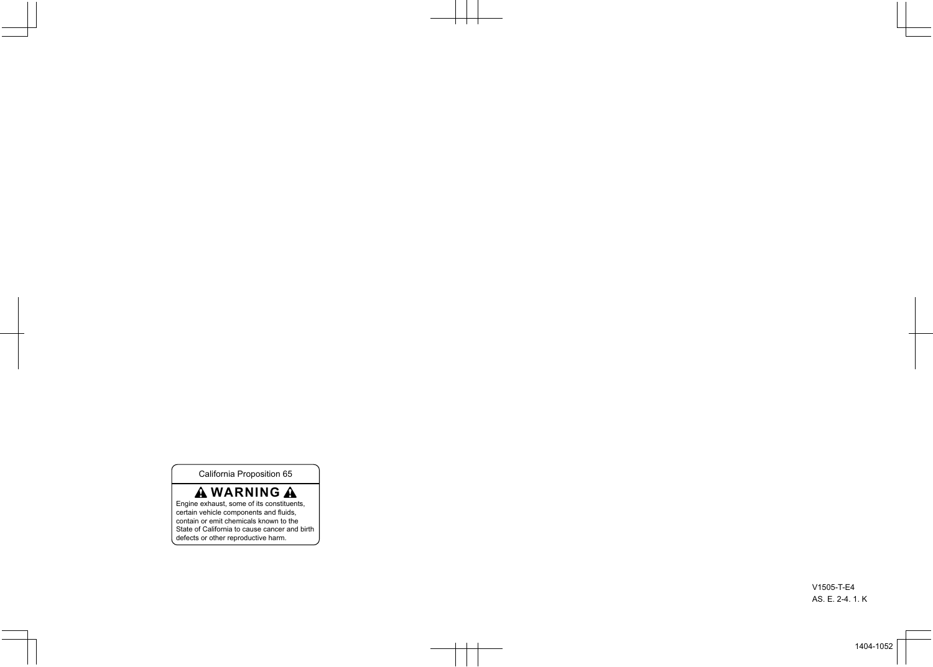California Proposition 65

### **A WARNING A**

Engine exhaust, some of its constituents, certain vehicle components and fluids, contain or emit chemicals known to the State of California to cause cancer and birth defects or other reproductive harm.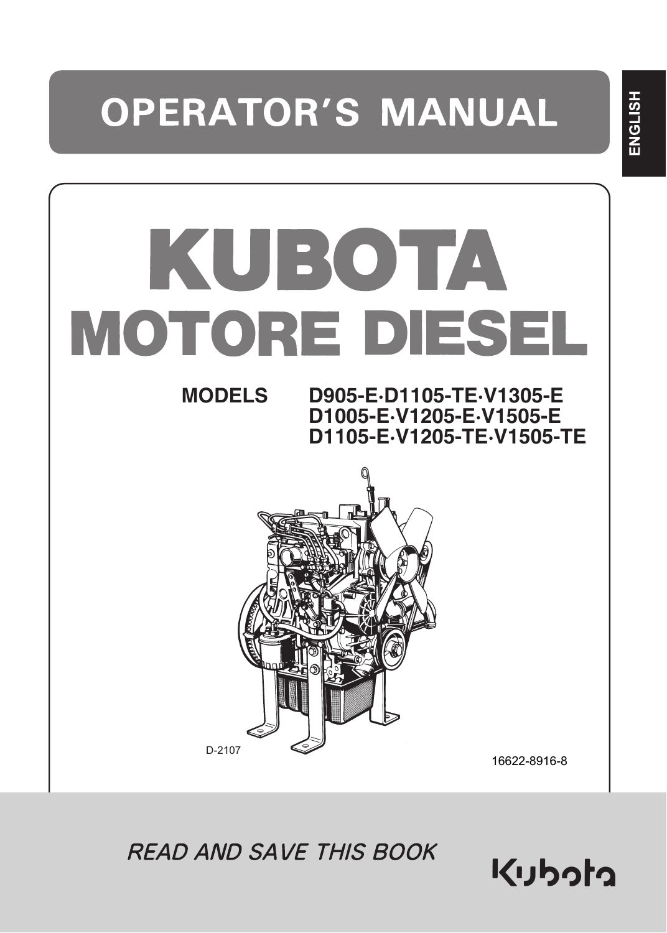# **OPERATOR'S MANUAL**

# KUBOTA MOTORE DIESEL **MODELS D905-E·D1105-TE·V1305-E D1005-E·V1205-E·V1505-E D1105-E·V1205-TE·V1505-TE** D-2107 16622-8916-8

**READ AND SAVE THIS BOOK** 

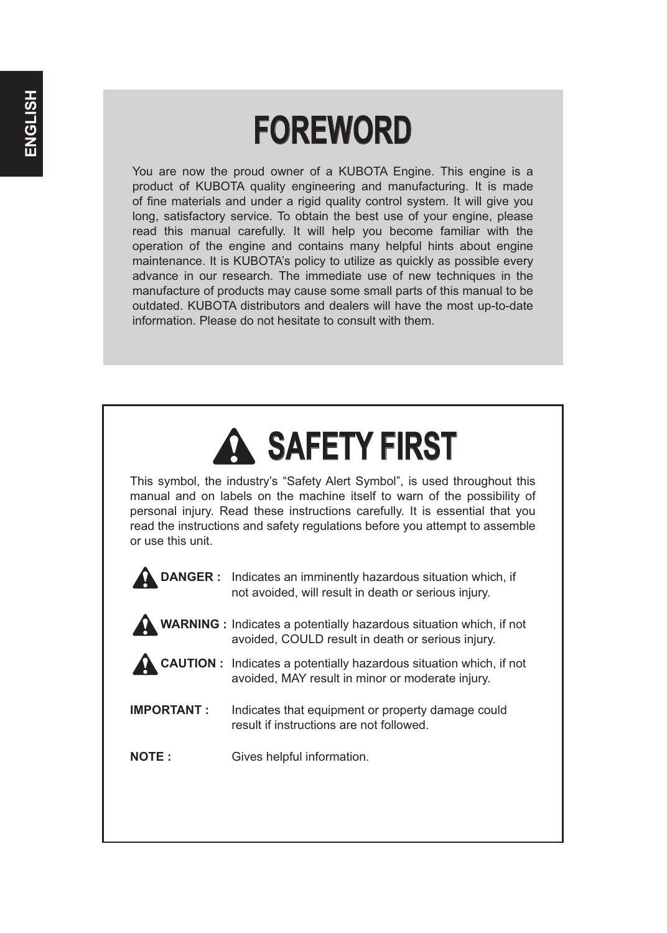# **FOREWORD**

You are now the proud owner of a KUBOTA Engine. This engine is a product of KUBOTA quality engineering and manufacturing. It is made of fine materials and under a rigid quality control system. It will give you long, satisfactory service. To obtain the best use of your engine, please read this manual carefully. It will help you become familiar with the operation of the engine and contains many helpful hints about engine maintenance. It is KUBOTA's policy to utilize as quickly as possible every advance in our research. The immediate use of new techniques in the manufacture of products may cause some small parts of this manual to be outdated. KUBOTA distributors and dealers will have the most up-to-date information. Please do not hesitate to consult with them.

# 3**SAFETY FIRST**

This symbol, the industry's "Safety Alert Symbol", is used throughout this manual and on labels on the machine itself to warn of the possibility of personal injury. Read these instructions carefully. It is essential that you read the instructions and safety regulations before you attempt to assemble or use this unit.

- **DANGER :** Indicates an imminently hazardous situation which, if not avoided, will result in death or serious injury.
- 3**WARNING :** Indicates a potentially hazardous situation which, if not avoided, COULD result in death or serious injury.
- 3**CAUTION :** Indicates a potentially hazardous situation which, if not avoided, MAY result in minor or moderate injury.
- **IMPORTANT :** Indicates that equipment or property damage could result if instructions are not followed.
- **NOTE :** Gives helpful information.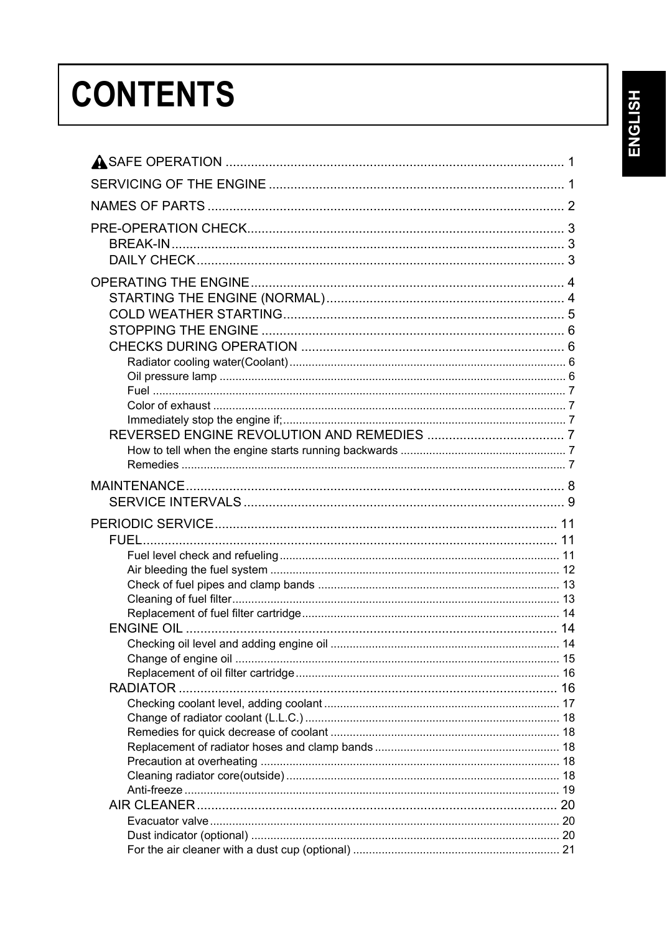# ENGLISH

# **CONTENTS**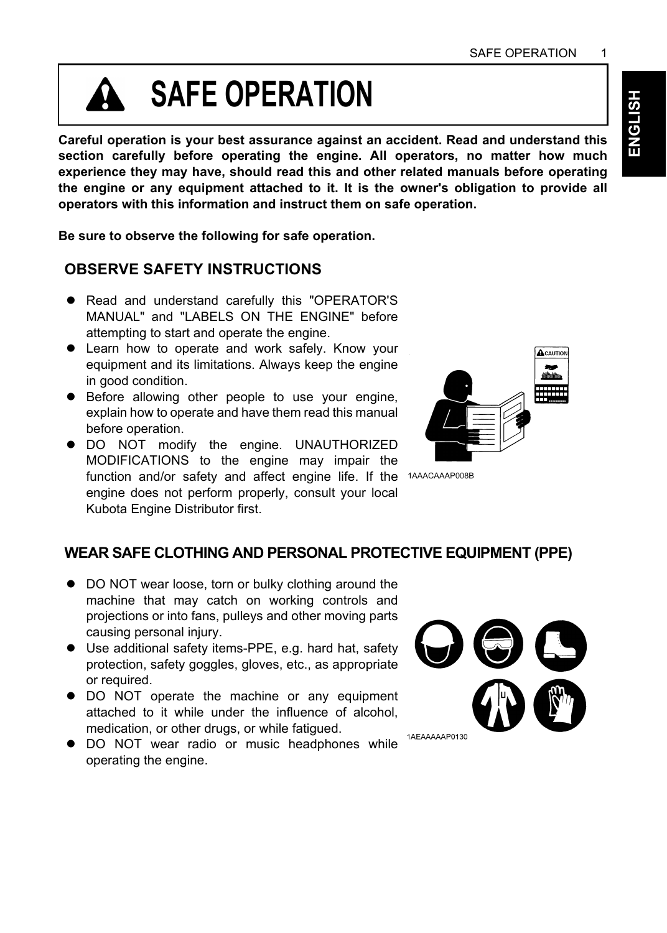# **SAFE OPERATION**

**Careful operation is your best assurance against an accident. Read and understand this section carefully before operating the engine. All operators, no matter how much experience they may have, should read this and other related manuals before operating the engine or any equipment attached to it. It is the owner's obligation to provide all operators with this information and instruct them on safe operation.**

**Be sure to observe the following for safe operation.**

#### **OBSERVE SAFETY INSTRUCTIONS**

- Read and understand carefully this "OPERATOR'S MANUAL" and "LABELS ON THE ENGINE" before attempting to start and operate the engine.
- Learn how to operate and work safely. Know your equipment and its limitations. Always keep the engine in good condition.
- **•** Before allowing other people to use your engine, explain how to operate and have them read this manual before operation.
- $\bullet$  DO NOT modify the engine. UNAUTHORIZED MODIFICATIONS to the engine may impair the function and/or safety and affect engine life. If the 1AAACAAAP008B engine does not perform properly, consult your local Kubota Engine Distributor first.



#### **WEAR SAFE CLOTHING AND PERSONAL PROTECTIVE EQUIPMENT (PPE)**

- DO NOT wear loose, torn or bulky clothing around the machine that may catch on working controls and projections or into fans, pulleys and other moving parts causing personal injury.
- A Use additional safety items-PPE, e.g. hard hat, safety protection, safety goggles, gloves, etc., as appropriate or required.
- $\bullet$  DO NOT operate the machine or any equipment attached to it while under the influence of alcohol, medication, or other drugs, or while fatigued.
- $\bullet$  DO NOT wear radio or music headphones while operating the engine.

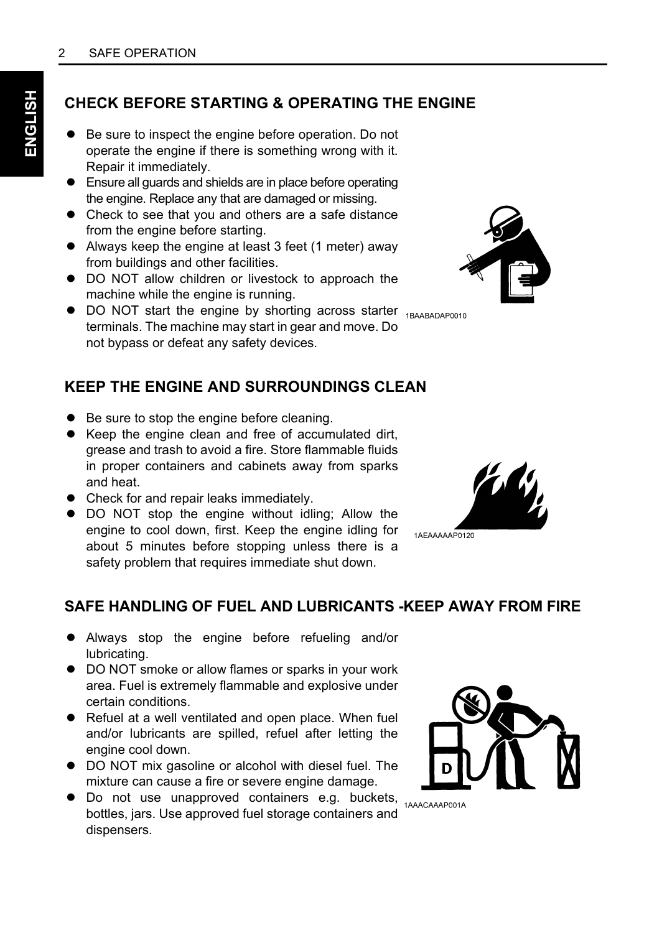#### **CHECK BEFORE STARTING & OPERATING THE ENGINE**

- Be sure to inspect the engine before operation. Do not operate the engine if there is something wrong with it. Repair it immediately.
- Ensure all guards and shields are in place before operating the engine. Replace any that are damaged or missing.
- Check to see that you and others are a safe distance from the engine before starting.
- Always keep the engine at least 3 feet (1 meter) away from buildings and other facilities.
- DO NOT allow children or livestock to approach the machine while the engine is running.
- DO NOT start the engine by shorting across starter 1BAABADAP0010 terminals. The machine may start in gear and move. Do not bypass or defeat any safety devices.

#### **KEEP THE ENGINE AND SURROUNDINGS CLEAN**

- Be sure to stop the engine before cleaning.
- A Keep the engine clean and free of accumulated dirt, grease and trash to avoid a fire. Store flammable fluids in proper containers and cabinets away from sparks and heat.
- Check for and repair leaks immediately.
- DO NOT stop the engine without idling; Allow the engine to cool down, first. Keep the engine idling for about 5 minutes before stopping unless there is a safety problem that requires immediate shut down.

#### **SAFE HANDLING OF FUEL AND LUBRICANTS -KEEP AWAY FROM FIRE**

- A Always stop the engine before refueling and/or lubricating.
- $\bullet$  DO NOT smoke or allow flames or sparks in your work area. Fuel is extremely flammable and explosive under certain conditions.
- Refuel at a well ventilated and open place. When fuel and/or lubricants are spilled, refuel after letting the engine cool down.
- DO NOT mix gasoline or alcohol with diesel fuel. The mixture can cause a fire or severe engine damage.
- Do not use unapproved containers e.g. buckets, 1AAACAAAP001A bottles, jars. Use approved fuel storage containers and dispensers.







1AEAAAAAP0120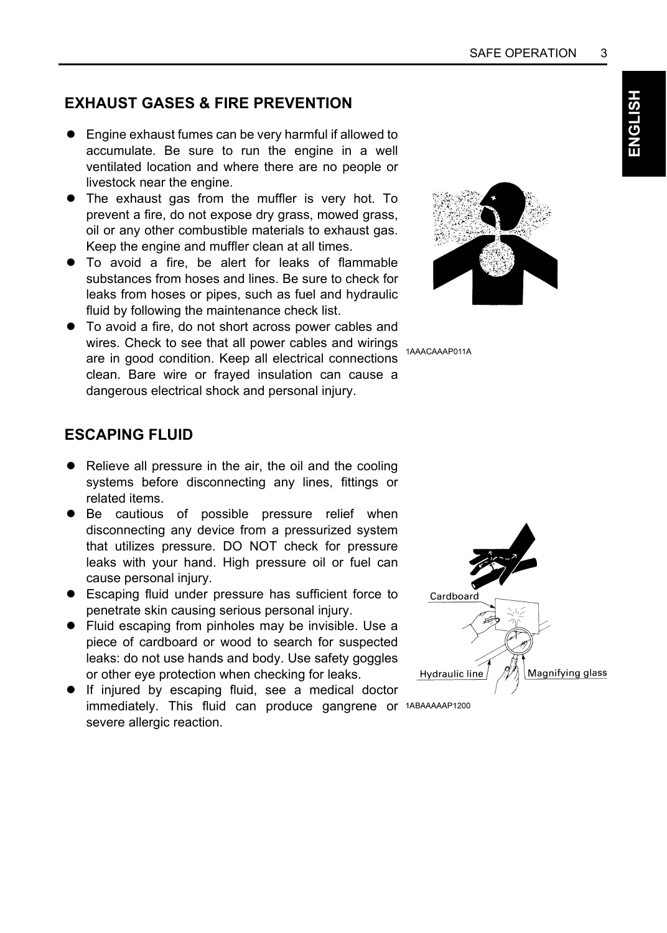#### **EXHAUST GASES & FIRE PREVENTION**

- Engine exhaust fumes can be very harmful if allowed to accumulate. Be sure to run the engine in a well ventilated location and where there are no people or livestock near the engine.
- The exhaust gas from the muffler is very hot. To prevent a fire, do not expose dry grass, mowed grass, oil or any other combustible materials to exhaust gas. Keep the engine and muffler clean at all times.
- $\bullet$  To avoid a fire, be alert for leaks of flammable substances from hoses and lines. Be sure to check for leaks from hoses or pipes, such as fuel and hydraulic fluid by following the maintenance check list.
- $\bullet$  To avoid a fire, do not short across power cables and Wires. Check to see that all power cables and wirings are in good condition. Keep all electrical connections clean. Bare wire or frayed insulation can cause a dangerous electrical shock and personal injury.



#### **ESCAPING FLUID**

- $\bullet$  Relieve all pressure in the air, the oil and the cooling systems before disconnecting any lines, fittings or related items.
- $\bullet$  Be cautious of possible pressure relief when disconnecting any device from a pressurized system that utilizes pressure. DO NOT check for pressure leaks with your hand. High pressure oil or fuel can cause personal injury.
- Escaping fluid under pressure has sufficient force to penetrate skin causing serious personal injury.
- Fluid escaping from pinholes may be invisible. Use a piece of cardboard or wood to search for suspected leaks: do not use hands and body. Use safety goggles or other eye protection when checking for leaks.
- A If injured by escaping fluid, see a medical doctor immediately. This fluid can produce gangrene or 1ABAAAAAP1200 severe allergic reaction.

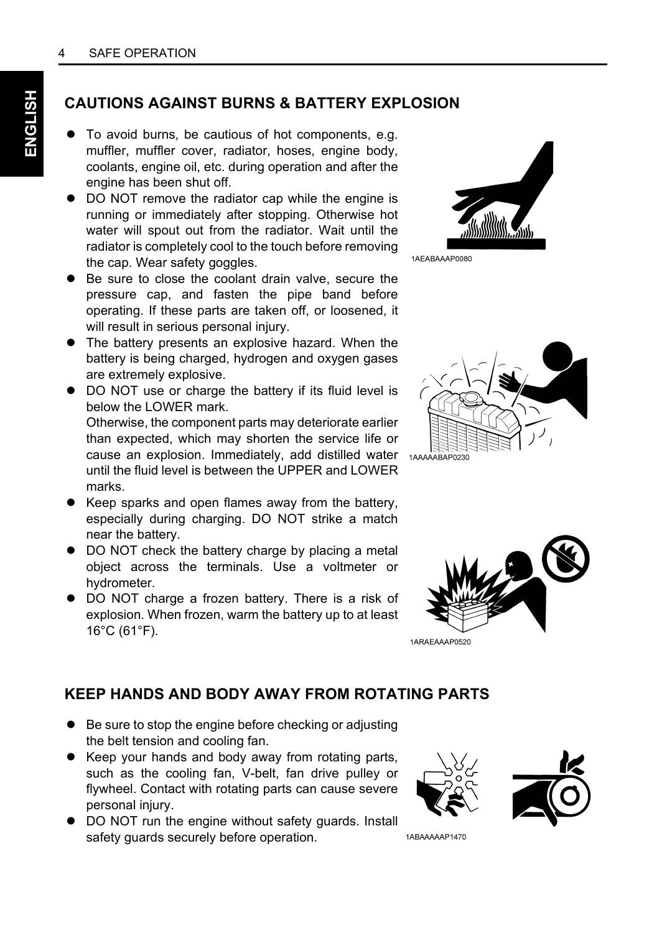#### **CAUTIONS AGAINST BURNS & BATTERY EXPLOSION**

- $\bullet$  To avoid burns, be cautious of hot components, e.g. muffler, muffler cover, radiator, hoses, engine body, coolants, engine oil, etc. during operation and after the engine has been shut off.
- DO NOT remove the radiator cap while the engine is running or immediately after stopping. Otherwise hot water will spout out from the radiator. Wait until the radiator is completely cool to the touch before removing the cap. Wear safety goggles.
- $\bullet$  Be sure to close the coolant drain valve, secure the pressure cap, and fasten the pipe band before operating. If these parts are taken off, or loosened, it will result in serious personal injury.
- The battery presents an explosive hazard. When the battery is being charged, hydrogen and oxygen gases are extremely explosive.
- $\bullet$  DO NOT use or charge the battery if its fluid level is below the LOWER mark. Otherwise, the component parts may deteriorate earlier than expected, which may shorten the service life or cause an explosion. Immediately, add distilled water until the fluid level is between the UPPER and LOWER marks.
- Keep sparks and open flames away from the battery, especially during charging. DO NOT strike a match near the battery.
- $\bullet$  DO NOT check the battery charge by placing a metal object across the terminals. Use a voltmeter or hydrometer.
- $\bullet$  DO NOT charge a frozen battery. There is a risk of explosion. When frozen, warm the battery up to at least 16°C (61°F).



1AEABAAAP0080





#### 1ARAEAAAP0520

#### **KEEP HANDS AND BODY AWAY FROM ROTATING PARTS**

- Be sure to stop the engine before checking or adjusting the belt tension and cooling fan.
- Keep your hands and body away from rotating parts, such as the cooling fan, V-belt, fan drive pulley or flywheel. Contact with rotating parts can cause severe personal injury.
- $\bullet$  DO NOT run the engine without safety guards. Install safety guards securely before operation.



1ABAAAAAP1470

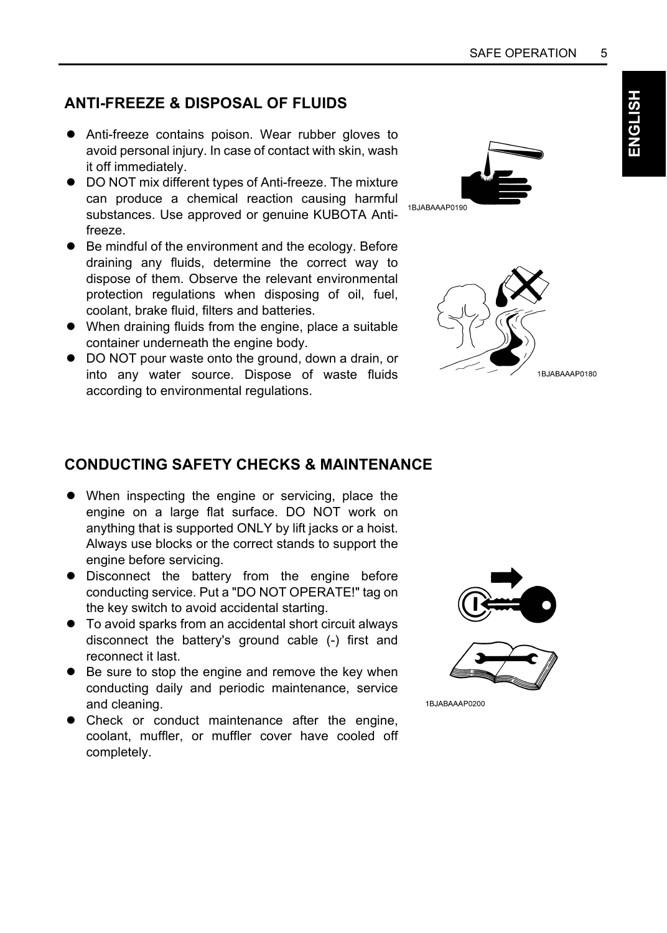# **ENGLISH**

#### **ANTI-FREEZE & DISPOSAL OF FLUIDS**

- Anti-freeze contains poison. Wear rubber gloves to avoid personal injury. In case of contact with skin, wash it off immediately.
- DO NOT mix different types of Anti-freeze. The mixture can produce a chemical reaction causing harmful substances. Use approved or genuine KUBOTA Antifreeze.
- Be mindful of the environment and the ecology. Before draining any fluids, determine the correct way to dispose of them. Observe the relevant environmental protection regulations when disposing of oil, fuel, coolant, brake fluid, filters and batteries.
- When draining fluids from the engine, place a suitable container underneath the engine body.
- $\bullet$  DO NOT pour waste onto the ground, down a drain, or into any water source. Dispose of waste fluids according to environmental regulations.





#### **CONDUCTING SAFETY CHECKS & MAINTENANCE**

- When inspecting the engine or servicing, place the engine on a large flat surface. DO NOT work on anything that is supported ONLY by lift jacks or a hoist. Always use blocks or the correct stands to support the engine before servicing.
- $\bullet$  Disconnect the battery from the engine before conducting service. Put a "DO NOT OPERATE!" tag on the key switch to avoid accidental starting.
- $\bullet$  To avoid sparks from an accidental short circuit always disconnect the battery's ground cable (-) first and reconnect it last.
- Be sure to stop the engine and remove the key when conducting daily and periodic maintenance, service and cleaning.
- Check or conduct maintenance after the engine, coolant, muffler, or muffler cover have cooled off completely.



1BJABAAAP0200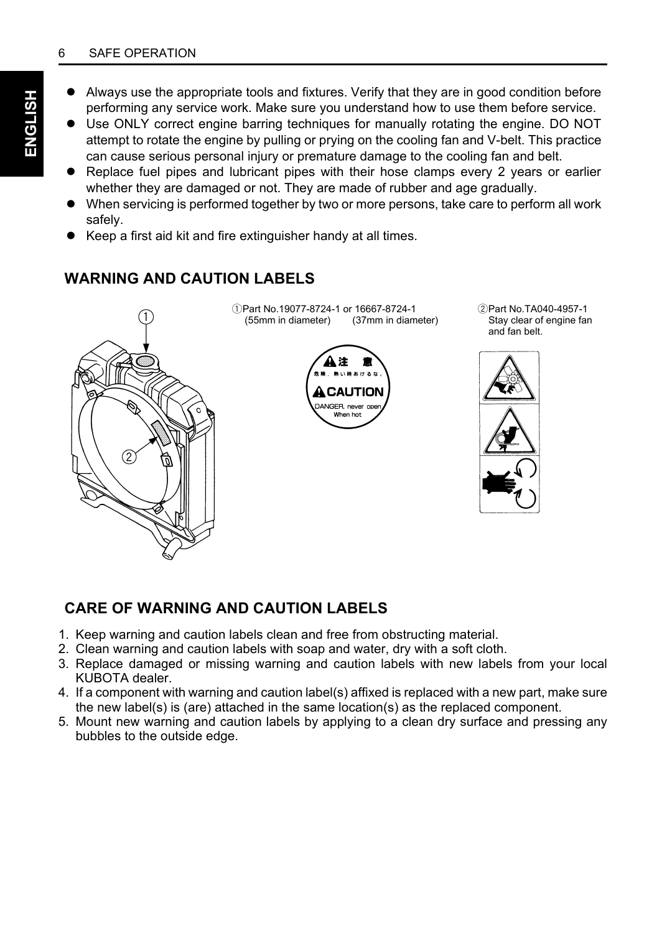#### 6 SAFE OPERATION

- Always use the appropriate tools and fixtures. Verify that they are in good condition before performing any service work. Make sure you understand how to use them before service.
- Use ONLY correct engine barring techniques for manually rotating the engine. DO NOT attempt to rotate the engine by pulling or prying on the cooling fan and V-belt. This practice can cause serious personal injury or premature damage to the cooling fan and belt.
- A Replace fuel pipes and lubricant pipes with their hose clamps every 2 years or earlier whether they are damaged or not. They are made of rubber and age gradually.
- When servicing is performed together by two or more persons, take care to perform all work safely.
- Keep a first aid kit and fire extinguisher handy at all times.

#### **WARNING AND CAUTION LABELS**



#### **CARE OF WARNING AND CAUTION LABELS**

- 1. Keep warning and caution labels clean and free from obstructing material.
- 2. Clean warning and caution labels with soap and water, dry with a soft cloth.
- 3. Replace damaged or missing warning and caution labels with new labels from your local KUBOTA dealer.
- 4. If a component with warning and caution label(s) affixed is replaced with a new part, make sure the new label(s) is (are) attached in the same location(s) as the replaced component.
- 5. Mount new warning and caution labels by applying to a clean dry surface and pressing any bubbles to the outside edge.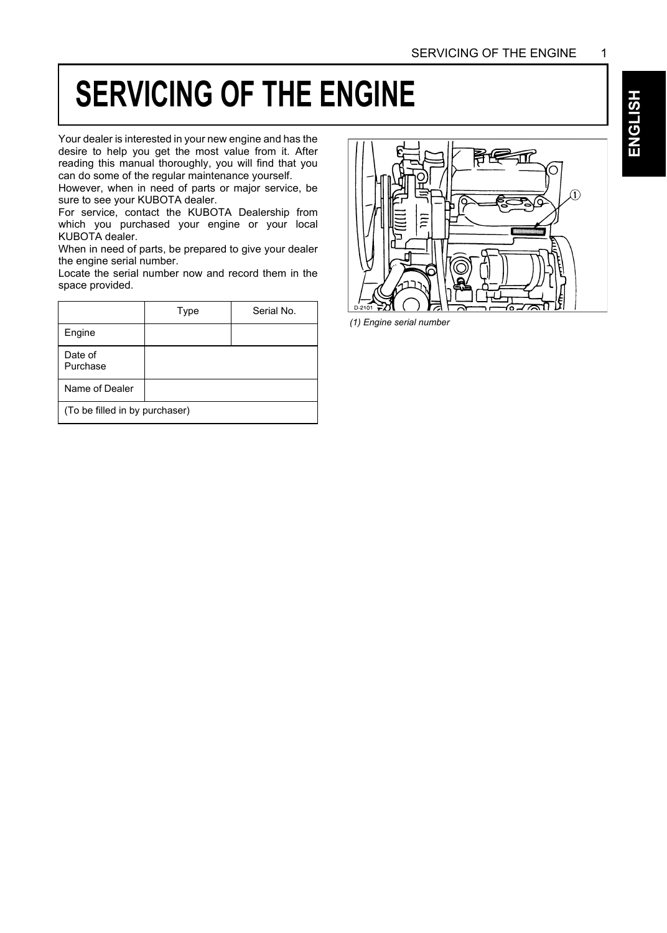### **SERVICING OF THE ENGINE**

Your dealer is interested in your new engine and has the desire to help you get the most value from it. After reading this manual thoroughly, you will find that you can do some of the regular maintenance yourself.

However, when in need of parts or major service, be sure to see your KUBOTA dealer.

For service, contact the KUBOTA Dealership from which you purchased your engine or your local KUBOTA dealer.

When in need of parts, be prepared to give your dealer the engine serial number.

Locate the serial number now and record them in the space provided.

|                                | Type | Serial No. |  |
|--------------------------------|------|------------|--|
| Engine                         |      |            |  |
| Date of<br>Purchase            |      |            |  |
| Name of Dealer                 |      |            |  |
| (To be filled in by purchaser) |      |            |  |



*(1) Engine serial number*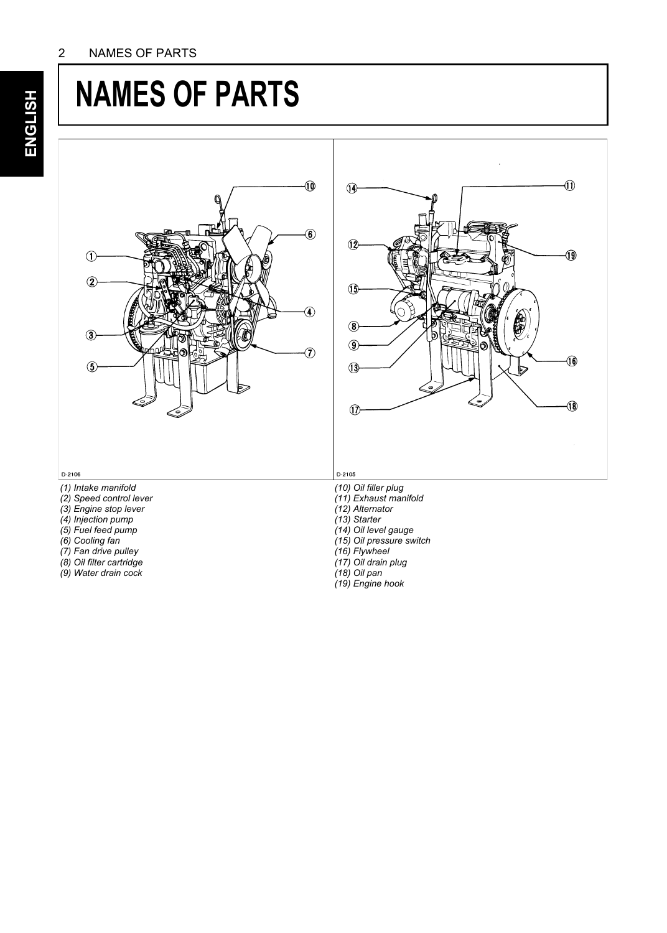### **NAMES OF PARTS**





#### D-2106

- *(1) Intake manifold*
- *(2) Speed control lever (3) Engine stop lever*
- 
- *(4) Injection pump*
- *(5) Fuel feed pump*
- *(6) Cooling fan*
- *(7) Fan drive pulley*
- *(8) Oil filter cartridge*
- *(9) Water drain cock*
- 
- *(10) Oil filler plug (11) Exhaust manifold*
- *(12) Alternator*

*(13) Starter*

- *(14) Oil level gauge*
- 
- *(15) Oil pressure switch*
- *(16) Flywheel*
- *(17) Oil drain plug (18) Oil pan*
- 
- *(19) Engine hook*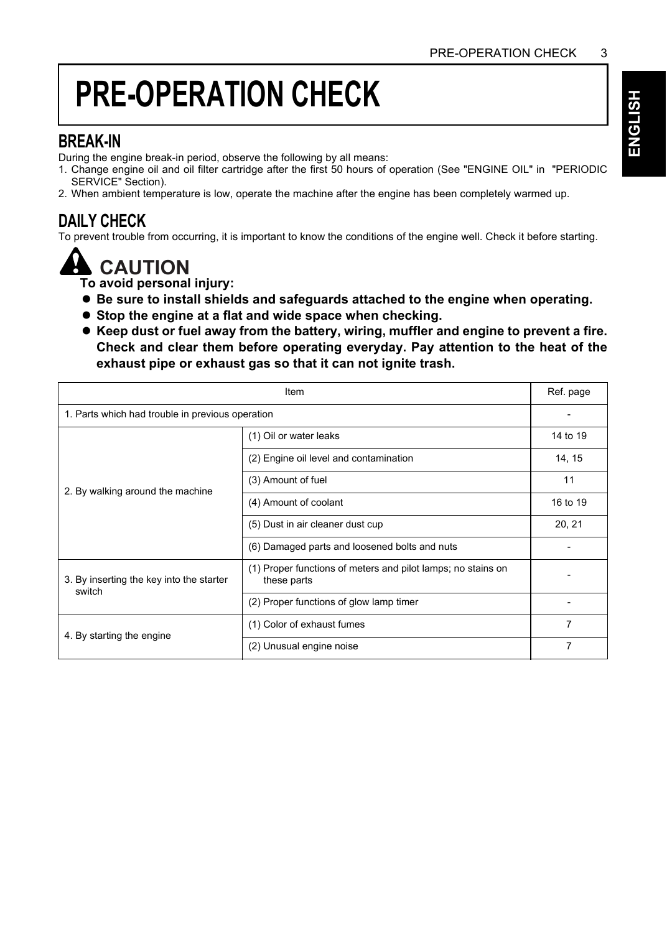# **PRE-OPERATION CHECK**

#### **BREAK-IN**

During the engine break-in period, observe the following by all means:

- 1. Change engine oil and oil filter cartridge after the first 50 hours of operation (See "ENGINE OIL" in "PERIODIC SERVICE" Section).
- 2. When ambient temperature is low, operate the machine after the engine has been completely warmed up.

#### **DAILY CHECK**

To prevent trouble from occurring, it is important to know the conditions of the engine well. Check it before starting.



**To avoid personal injury:**

- A **Be sure to install shields and safeguards attached to the engine when operating.**
- $\bullet$  Stop the engine at a flat and wide space when checking.
- A **Keep dust or fuel away from the battery, wiring, muffler and engine to prevent a fire. Check and clear them before operating everyday. Pay attention to the heat of the exhaust pipe or exhaust gas so that it can not ignite trash.**

| Item                                               |                                                                             |          |  |
|----------------------------------------------------|-----------------------------------------------------------------------------|----------|--|
| 1. Parts which had trouble in previous operation   |                                                                             |          |  |
|                                                    | (1) Oil or water leaks                                                      | 14 to 19 |  |
|                                                    | (2) Engine oil level and contamination                                      | 14, 15   |  |
| 2. By walking around the machine                   | (3) Amount of fuel                                                          | 11       |  |
|                                                    | (4) Amount of coolant                                                       | 16 to 19 |  |
|                                                    | (5) Dust in air cleaner dust cup                                            | 20, 21   |  |
|                                                    | (6) Damaged parts and loosened bolts and nuts                               |          |  |
| 3. By inserting the key into the starter<br>switch | (1) Proper functions of meters and pilot lamps; no stains on<br>these parts |          |  |
|                                                    | (2) Proper functions of glow lamp timer                                     |          |  |
| 4. By starting the engine                          | (1) Color of exhaust fumes                                                  | 7        |  |
|                                                    | (2) Unusual engine noise                                                    | 7        |  |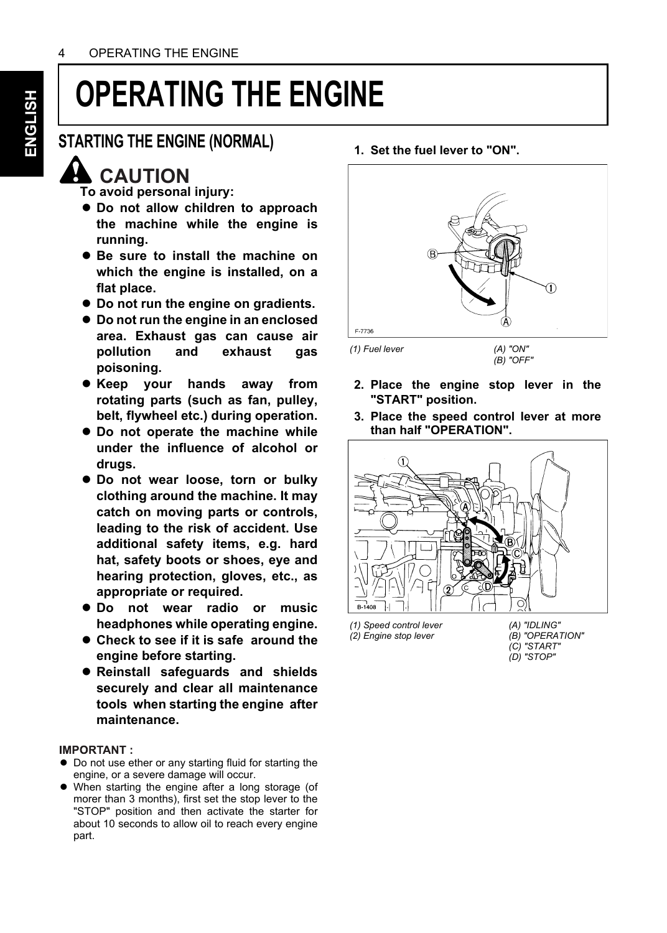# **OPERATING THE ENGINE**

#### **STARTING THE ENGINE (NORMAL)**

### **CAUTION**

**To avoid personal injury:**

- $\bullet$  Do not allow children to approach **the machine while the engine is running.**
- A **Be sure to install the machine on which the engine is installed, on a flat place.**
- $\bullet$  Do not run the engine on gradients.
- A **Do not run the engine in an enclosed area. Exhaust gas can cause air pollution and exhaust gas poisoning.**
- **Keep your hands away from rotating parts (such as fan, pulley, belt, flywheel etc.) during operation.**
- $\bullet$  Do not operate the machine while **under the influence of alcohol or drugs.**
- $\bullet$  Do not wear loose, torn or bulky **clothing around the machine. It may catch on moving parts or controls, leading to the risk of accident. Use additional safety items, e.g. hard hat, safety boots or shoes, eye and hearing protection, gloves, etc., as appropriate or required.**
- $\bullet$  Do not wear radio or music **headphones while operating engine.**
- A **Check to see if it is safe around the engine before starting.**
- A **Reinstall safeguards and shields securely and clear all maintenance tools when starting the engine after maintenance.**

#### **IMPORTANT:**

- $\bullet$  Do not use ether or any starting fluid for starting the engine, or a severe damage will occur.
- When starting the engine after a long storage (of morer than 3 months), first set the stop lever to the "STOP" position and then activate the starter for about 10 seconds to allow oil to reach every engine part.

#### **1. Set the fuel lever to "ON".**



*(1) Fuel lever (A) "ON"*

*(B) "OFF"*

- **2. Place the engine stop lever in the "START" position.**
- **3. Place the speed control lever at more than half "OPERATION".**



*(1) Speed control lever (2) Engine stop lever*

*(A) "IDLING" (B) "OPERATION" (C) "START" (D) "STOP"*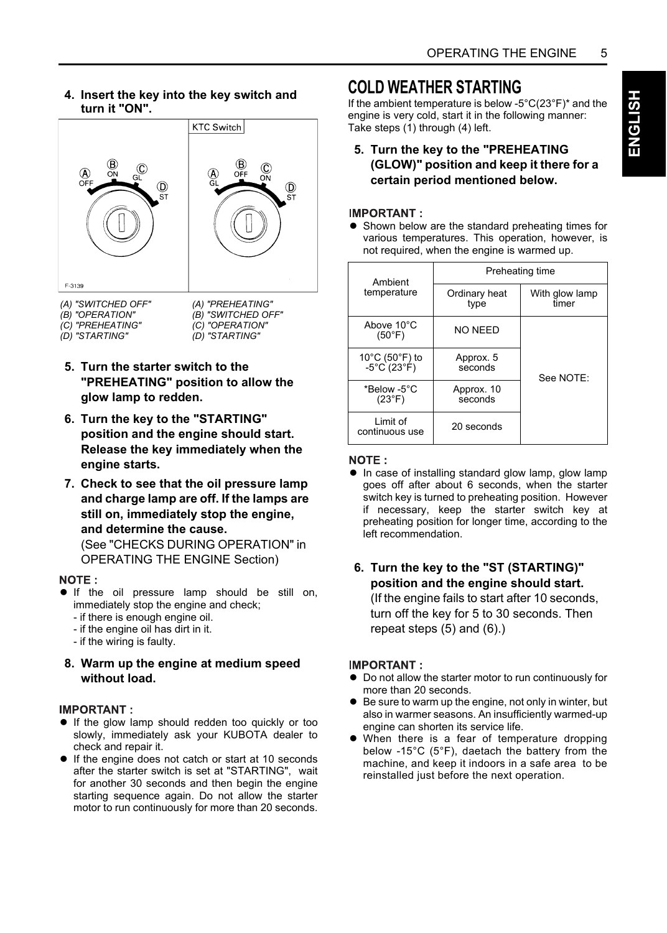**4. Insert the key into the key switch and turn it "ON".**



*(A) "SWITCHED OFF"* 

- *(B) "OPERATION" (C) "PREHEATING"*
- *(D) "STARTING"*

*(B) "SWITCHED OFF" (C) "OPERATION" (D) "STARTING"*

- **5. Turn the starter switch to the "PREHEATING" position to allow the glow lamp to redden.**
- **6. Turn the key to the "STARTING" position and the engine should start. Release the key immediately when the engine starts.**
- **7. Check to see that the oil pressure lamp and charge lamp are off. If the lamps are still on, immediately stop the engine, and determine the cause.** (See "CHECKS DURING OPERATION" in OPERATING THE ENGINE Section)

#### NOTE:

- $\bullet$  If the oil pressure lamp should be still on, immediately stop the engine and check;
	- if there is enough engine oil.
	- if the engine oil has dirt in it.
	- if the wiring is faulty.
- **8. Warm up the engine at medium speed without load.**

#### **IMPORTANT:**

- If the glow lamp should redden too quickly or too slowly, immediately ask your KUBOTA dealer to check and repair it.
- If the engine does not catch or start at 10 seconds after the starter switch is set at "STARTING", wait for another 30 seconds and then begin the engine starting sequence again. Do not allow the starter motor to run continuously for more than 20 seconds.

#### **COLD WEATHER STARTING**

If the ambient temperature is below -5°C(23°F)\* and the engine is very cold, start it in the following manner: Take steps (1) through (4) left.

**5. Turn the key to the "PREHEATING (GLOW)" position and keep it there for a certain period mentioned below.**

#### **IMPORTANT:**

• Shown below are the standard preheating times for various temperatures. This operation, however, is not required, when the engine is warmed up.

| Ambient                        | Preheating time       |                         |  |  |
|--------------------------------|-----------------------|-------------------------|--|--|
| temperature                    | Ordinary heat<br>type | With glow lamp<br>timer |  |  |
| Above 10°C<br>$(50^{\circ}F)$  | NO NEED               |                         |  |  |
| 10°C (50°F) to<br>-5°C (23°F)  | Approx. 5<br>seconds  | See NOTE:               |  |  |
| *Below -5°C<br>$(23^{\circ}F)$ | Approx. 10<br>seconds |                         |  |  |
| Limit of<br>continuous use     | 20 seconds            |                         |  |  |

#### NOTE:

• In case of installing standard glow lamp, glow lamp goes off after about 6 seconds, when the starter switch key is turned to preheating position. However if necessary, keep the starter switch key at preheating position for longer time, according to the left recommendation.

#### **6. Turn the key to the "ST (STARTING)" position and the engine should start.** (If the engine fails to start after 10 seconds, turn off the key for 5 to 30 seconds. Then repeat steps (5) and (6).)

#### **IMPORTANT:**

- $\bullet$  Do not allow the starter motor to run continuously for more than 20 seconds.
- $\bullet$  Be sure to warm up the engine, not only in winter, but also in warmer seasons. An insufficiently warmed-up engine can shorten its service life.
- When there is a fear of temperature dropping below -15°C (5°F), daetach the battery from the machine, and keep it indoors in a safe area to be reinstalled just before the next operation.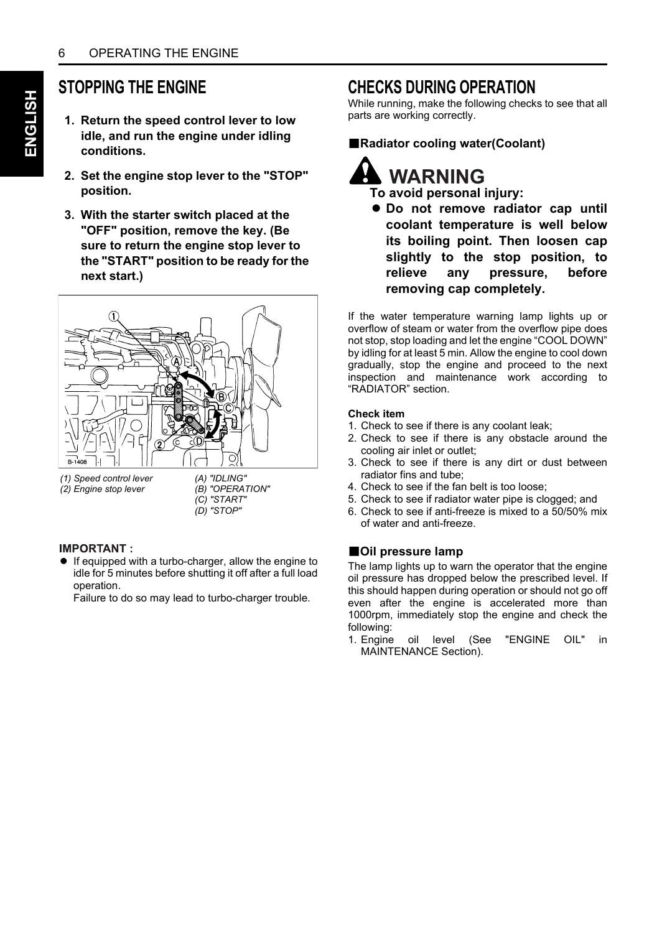### **STOPPING THE ENGINE**

- **1. Return the speed control lever to low idle, and run the engine under idling conditions.**
- **2. Set the engine stop lever to the "STOP" position.**
- **3. With the starter switch placed at the "OFF" position, remove the key. (Be sure to return the engine stop lever to the "START" position to be ready for the next start.)**



*(1) Speed control lever (2) Engine stop lever* 

*(A) "IDLING" (B) "OPERATION" (C) "START" (D) "STOP"*

#### **IMPORTANT:**

A If equipped with a turbo-charger, allow the engine to idle for 5 minutes before shutting it off after a full load operation.

Failure to do so may lead to turbo-charger trouble.

#### **CHECKS DURING OPERATION**

While running, make the following checks to see that all parts are working correctly.

#### B**Radiator cooling water(Coolant)**



 $\bullet$  Do not remove radiator cap until **coolant temperature is well below its boiling point. Then loosen cap slightly to the stop position, to relieve any pressure, before removing cap completely.**

If the water temperature warning lamp lights up or overflow of steam or water from the overflow pipe does not stop, stop loading and let the engine "COOL DOWN" by idling for at least 5 min. Allow the engine to cool down gradually, stop the engine and proceed to the next inspection and maintenance work according to "RADIATOR" section.

#### **Check item**

- 1. Check to see if there is any coolant leak;
- 2. Check to see if there is any obstacle around the cooling air inlet or outlet;
- 3. Check to see if there is any dirt or dust between radiator fins and tube;
- 4. Check to see if the fan belt is too loose;
- 5. Check to see if radiator water pipe is clogged; and
- 6. Check to see if anti-freeze is mixed to a 50/50% mix of water and anti-freeze.

#### **BOII pressure lamp**

The lamp lights up to warn the operator that the engine oil pressure has dropped below the prescribed level. If this should happen during operation or should not go off even after the engine is accelerated more than 1000rpm, immediately stop the engine and check the following:

1. Engine oil level (See "ENGINE OIL" in MAINTENANCE Section).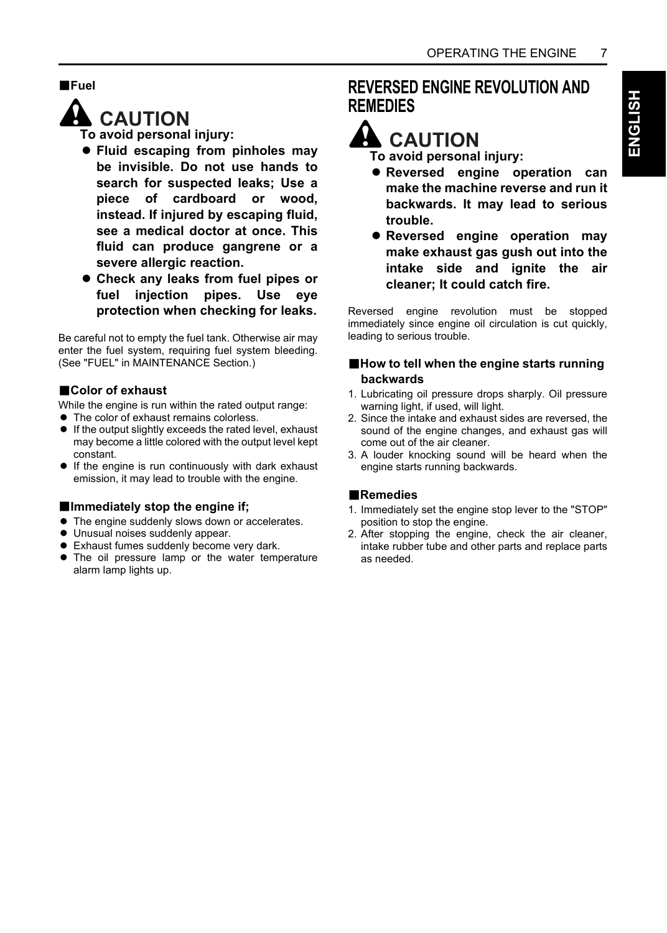#### B**Fuel**



**To avoid personal injury:**

- A **Fluid escaping from pinholes may be invisible. Do not use hands to search for suspected leaks; Use a piece of cardboard or wood, instead. If injured by escaping fluid, see a medical doctor at once. This fluid can produce gangrene or a severe allergic reaction.**
- A **Check any leaks from fuel pipes or fuel injection pipes. Use eye protection when checking for leaks.**

Be careful not to empty the fuel tank. Otherwise air may enter the fuel system, requiring fuel system bleeding. (See "FUEL" in MAINTENANCE Section.)

#### B**Color of exhaust**

While the engine is run within the rated output range:

- $\bullet$  The color of exhaust remains colorless.
- $\bullet$  If the output slightly exceeds the rated level, exhaust may become a little colored with the output level kept constant.
- $\bullet$  If the engine is run continuously with dark exhaust emission, it may lead to trouble with the engine.

#### **Elmmediately stop the engine if;**

- The engine suddenly slows down or accelerates.
- $\bullet$  Unusual noises suddenly appear.
- **•** Exhaust fumes suddenly become very dark.
- The oil pressure lamp or the water temperature alarm lamp lights up.

#### **REVERSED ENGINE REVOLUTION AND REMEDIES**

### **CAUTION**

**To avoid personal injury:**

- A **Reversed engine operation can make the machine reverse and run it backwards. It may lead to serious trouble.**
- **Reversed engine operation may make exhaust gas gush out into the intake side and ignite the air cleaner; It could catch fire.**

Reversed engine revolution must be stopped immediately since engine oil circulation is cut quickly, leading to serious trouble.

#### ■How to tell when the engine starts running **backwards**

- 1. Lubricating oil pressure drops sharply. Oil pressure warning light, if used, will light.
- 2. Since the intake and exhaust sides are reversed, the sound of the engine changes, and exhaust gas will come out of the air cleaner.
- 3. A louder knocking sound will be heard when the engine starts running backwards.

#### B**Remedies**

- 1. Immediately set the engine stop lever to the "STOP" position to stop the engine.
- 2. After stopping the engine, check the air cleaner, intake rubber tube and other parts and replace parts as needed.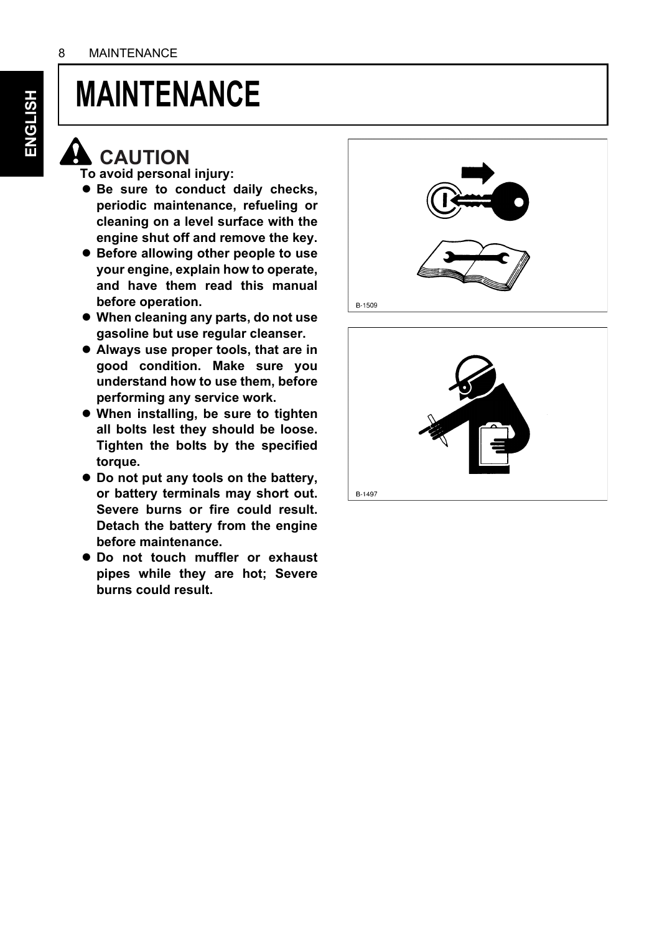

### **A** CAUTION

**To avoid personal injury:**

- $\bullet$  Be sure to conduct daily checks. **periodic maintenance, refueling or cleaning on a level surface with the engine shut off and remove the key.**
- A **Before allowing other people to use your engine, explain how to operate, and have them read this manual before operation.**
- A **When cleaning any parts, do not use gasoline but use regular cleanser.**
- A **Always use proper tools, that are in good condition. Make sure you understand how to use them, before performing any service work.**
- $\bullet$  When installing, be sure to tighten **all bolts lest they should be loose. Tighten the bolts by the specified torque.**
- A **Do not put any tools on the battery, or battery terminals may short out. Severe burns or fire could result. Detach the battery from the engine before maintenance.**
- $\bullet$  Do not touch muffler or exhaust **pipes while they are hot; Severe burns could result.**



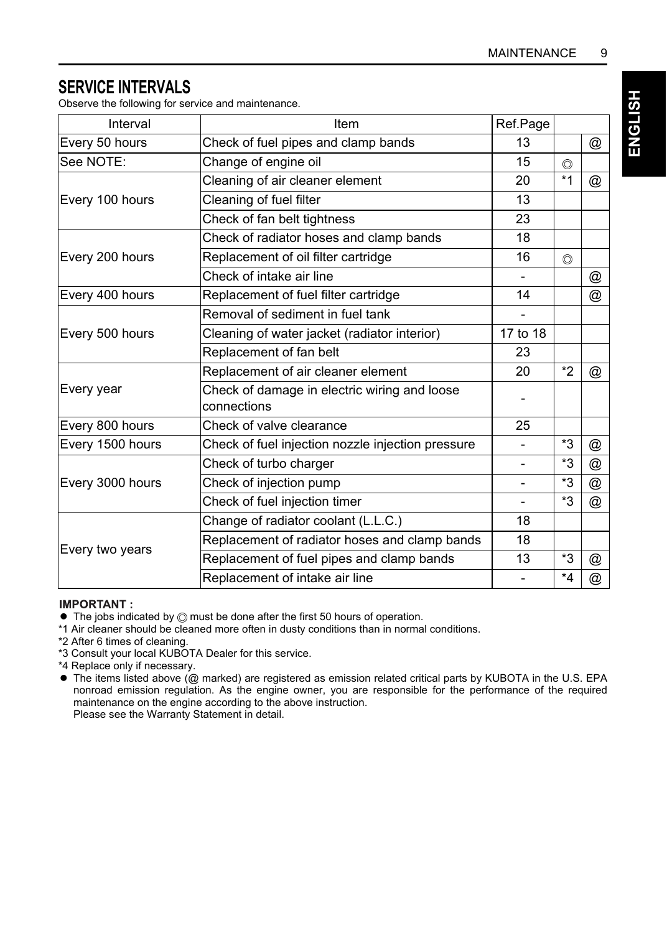#### **SERVICE INTERVALS**

Observe the following for service and maintenance.

| Interval         | Item                                                        | Ref.Page                 |                |   |
|------------------|-------------------------------------------------------------|--------------------------|----------------|---|
| Every 50 hours   | Check of fuel pipes and clamp bands                         | 13                       |                | @ |
| See NOTE:        | Change of engine oil                                        | 15                       | $\circledcirc$ |   |
|                  | Cleaning of air cleaner element                             | 20                       | $*1$           | @ |
| Every 100 hours  | Cleaning of fuel filter                                     | 13                       |                |   |
|                  | Check of fan belt tightness                                 | 23                       |                |   |
|                  | Check of radiator hoses and clamp bands                     | 18                       |                |   |
| Every 200 hours  | Replacement of oil filter cartridge                         | 16                       | $\circledcirc$ |   |
|                  | Check of intake air line                                    |                          |                | @ |
| Every 400 hours  | Replacement of fuel filter cartridge                        | 14                       |                | @ |
|                  | Removal of sediment in fuel tank                            |                          |                |   |
| Every 500 hours  | Cleaning of water jacket (radiator interior)                | 17 to 18                 |                |   |
|                  | Replacement of fan belt                                     | 23                       |                |   |
|                  | Replacement of air cleaner element                          | 20                       | $*2$           | @ |
| Every year       | Check of damage in electric wiring and loose<br>connections |                          |                |   |
| Every 800 hours  | Check of valve clearance                                    | 25                       |                |   |
| Every 1500 hours | Check of fuel injection nozzle injection pressure           |                          | *3             | @ |
|                  | Check of turbo charger                                      | $\overline{\phantom{a}}$ | *3             | @ |
| Every 3000 hours | Check of injection pump                                     | $\overline{\phantom{a}}$ | *3             | @ |
|                  | Check of fuel injection timer                               |                          | $*3$           | @ |
|                  | Change of radiator coolant (L.L.C.)                         | 18                       |                |   |
| Every two years  | Replacement of radiator hoses and clamp bands               | 18                       |                |   |
|                  | Replacement of fuel pipes and clamp bands                   | 13                       | *3             | @ |
|                  | Replacement of intake air line                              |                          | $*_{4}$        | @ |

#### **IMPORTANT:**

- $\bullet$  The jobs indicated by  $\circledcirc$  must be done after the first 50 hours of operation.
- \*1 Air cleaner should be cleaned more often in dusty conditions than in normal conditions.
- \*2 After 6 times of cleaning.
- \*3 Consult your local KUBOTA Dealer for this service.
- \*4 Replace only if necessary.
- $\bullet$  The items listed above (@ marked) are registered as emission related critical parts by KUBOTA in the U.S. EPA nonroad emission regulation. As the engine owner, you are responsible for the performance of the required maintenance on the engine according to the above instruction. Please see the Warranty Statement in detail.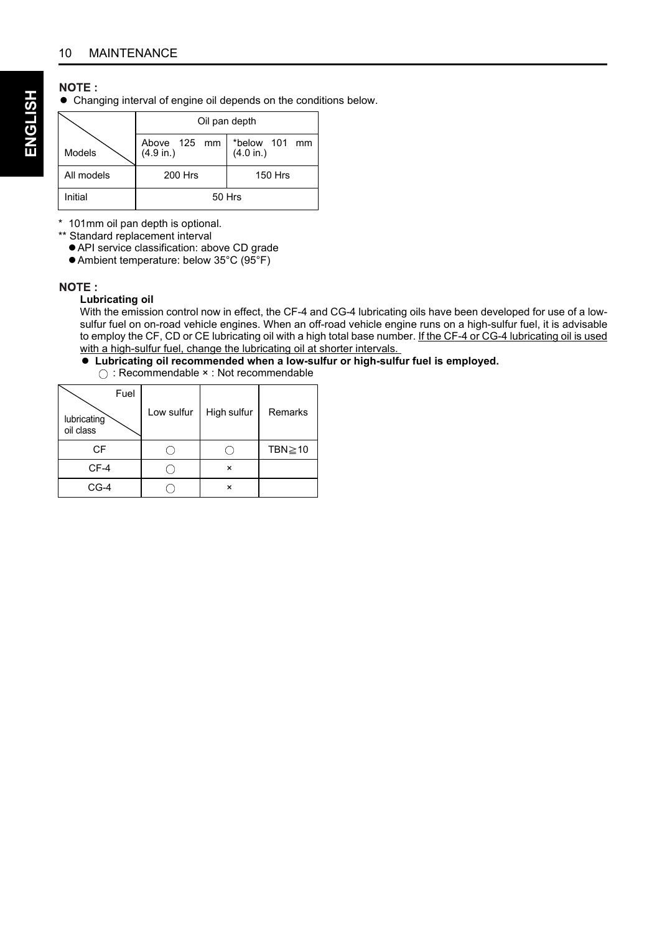#### **NOTE:**

 $\bullet$  Changing interval of engine oil depends on the conditions below.

|            | Oil pan depth                    |                            |  |  |  |
|------------|----------------------------------|----------------------------|--|--|--|
| Models     | Above 125 mm<br>(4.9 in.)        | *below 101 mm<br>(4.0 in.) |  |  |  |
| All models | <b>200 Hrs</b><br><b>150 Hrs</b> |                            |  |  |  |
| Initial    | 50 Hrs                           |                            |  |  |  |

\* 101mm oil pan depth is optional.

\*\* Standard replacement interval

AAPI service classification: above CD grade

● Ambient temperature: below 35°C (95°F)

#### NOTE:

#### **Lubricating oil**

With the emission control now in effect, the CF-4 and CG-4 lubricating oils have been developed for use of a lowsulfur fuel on on-road vehicle engines. When an off-road vehicle engine runs on a high-sulfur fuel, it is advisable to employ the CF, CD or CE lubricating oil with a high total base number. If the CF-4 or CG-4 lubricating oil is used with a high-sulfur fuel, change the lubricating oil at shorter intervals.

#### A **Lubricating oil recommended when a low-sulfur or high-sulfur fuel is employed.**

: Recommendable × : Not recommendable

| Fuel<br>lubricating<br>oil class | Low sulfur | High sulfur  | Remarks       |
|----------------------------------|------------|--------------|---------------|
| CF                               |            |              | TBN $\geq$ 10 |
| CF-4                             |            | $\mathsf{x}$ |               |
| $CG-4$                           |            | $\mathsf{x}$ |               |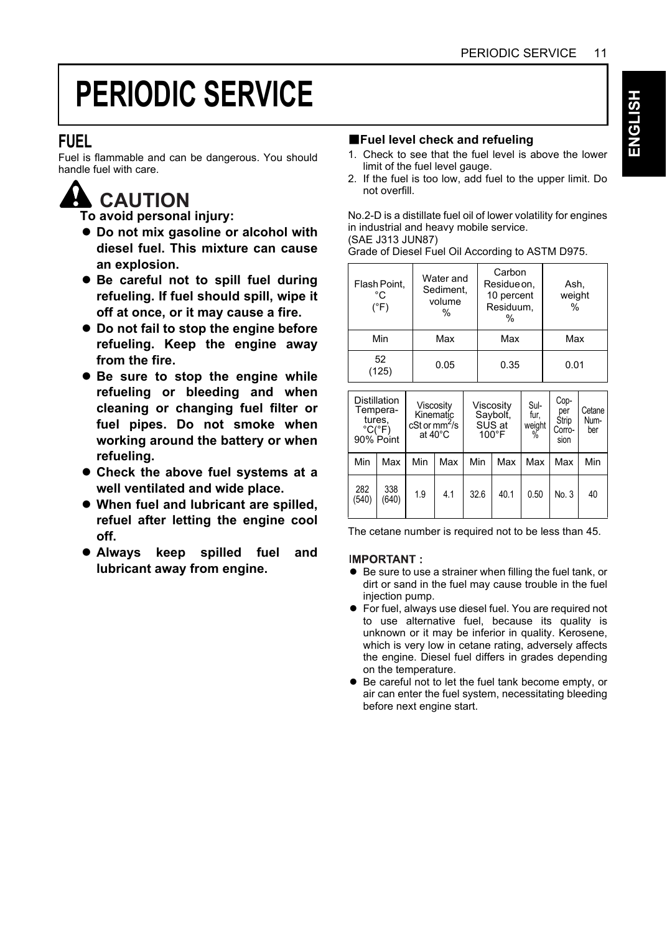# HS⊓ÐN⊒ **ENGLISH**

# **PERIODIC SERVICE**

#### **FUEL**

Fuel is flammable and can be dangerous. You should handle fuel with care.

### **A** CAUTION

**To avoid personal injury:**

- A **Do not mix gasoline or alcohol with diesel fuel. This mixture can cause an explosion.**
- $\bullet$  Be careful not to spill fuel during **refueling. If fuel should spill, wipe it off at once, or it may cause a fire.**
- $\bullet$  Do not fail to stop the engine before **refueling. Keep the engine away from the fire.**
- $\bullet$  Be sure to stop the engine while **refueling or bleeding and when cleaning or changing fuel filter or fuel pipes. Do not smoke when working around the battery or when refueling.**
- $\bullet$  Check the above fuel systems at a **well ventilated and wide place.**
- A **When fuel and lubricant are spilled, refuel after letting the engine cool off.**
- A **Always keep spilled fuel and lubricant away from engine.**

#### **Example 1** Fuel level check and refueling

- 1. Check to see that the fuel level is above the lower limit of the fuel level gauge.
- 2. If the fuel is too low, add fuel to the upper limit. Do not overfill.

No.2-D is a distillate fuel oil of lower volatility for engines in industrial and heavy mobile service. (SAE J313 JUN87)

Grade of Diesel Fuel Oil According to ASTM D975.

| Flash Point,<br>°C<br>(°F) | Water and<br>Sediment.<br>volume<br>% | Carbon<br>Residue on,<br>10 percent<br>Residuum.<br>% | Ash,<br>weight<br>% |
|----------------------------|---------------------------------------|-------------------------------------------------------|---------------------|
| Min                        | Max                                   | Max                                                   | Max                 |
| 52<br>125)                 | 0.05                                  | 0.35                                                  | 0.01                |

|              | <b>Distillation</b><br>Tempera-<br>tures,<br>$^{\circ}$ C( $^{\circ}$ F)<br>90% Point |     | Viscosity<br>Viscosity<br>Kinematic<br>Savbolt.<br>SUS at<br>$cSt$ or $mm2/s$<br>at 40°C<br>$100^{\circ}$ F |      | Sul-<br>fur.<br>weight<br>% | Cop-<br>per<br><b>Strip</b><br>Corro-<br>sion | Cetane<br>Num-<br>ber |     |
|--------------|---------------------------------------------------------------------------------------|-----|-------------------------------------------------------------------------------------------------------------|------|-----------------------------|-----------------------------------------------|-----------------------|-----|
| Min          | Max                                                                                   | Min | Max                                                                                                         | Min  | Max                         | Max                                           | Max                   | Min |
| 282<br>(540) | 338<br>(640)                                                                          | 1.9 | 4.1                                                                                                         | 32.6 | 40.1                        | 0.50                                          | No. 3                 | 40  |

The cetane number is required not to be less than 45.

#### **IMPORTANT:**

- Be sure to use a strainer when filling the fuel tank, or dirt or sand in the fuel may cause trouble in the fuel injection pump.
- A For fuel, always use diesel fuel. You are required not to use alternative fuel, because its quality is unknown or it may be inferior in quality. Kerosene, which is very low in cetane rating, adversely affects the engine. Diesel fuel differs in grades depending on the temperature.
- $\bullet$  Be careful not to let the fuel tank become empty, or air can enter the fuel system, necessitating bleeding before next engine start.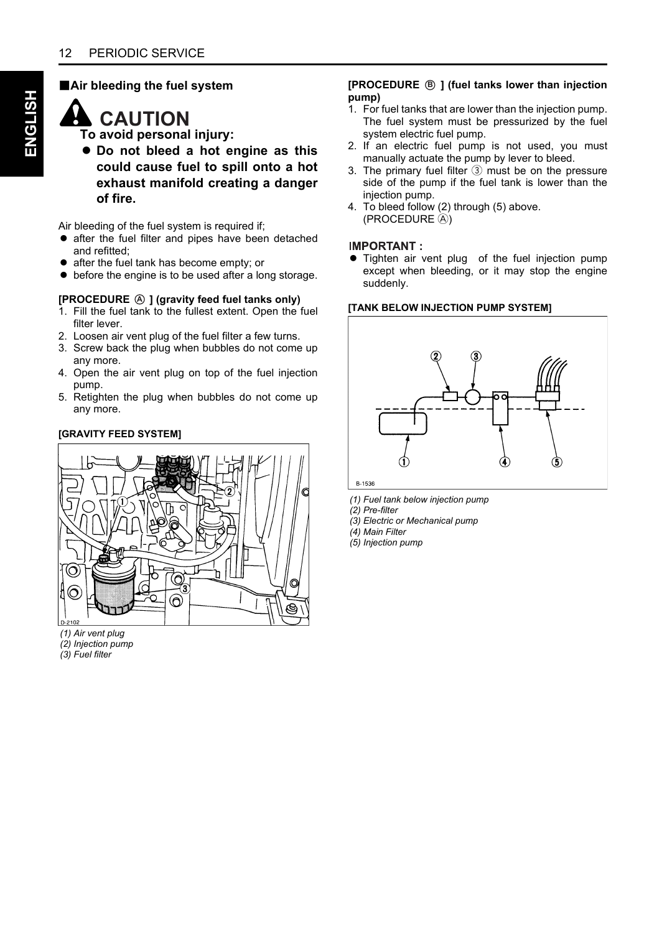#### **BAir bleeding the fuel system**

### **CAUTION**

**To avoid personal injury:**

 $\bullet$  Do not bleed a hot engine as this **could cause fuel to spill onto a hot exhaust manifold creating a danger of fire.**

Air bleeding of the fuel system is required if;

- $\bullet$  after the fuel filter and pipes have been detached and refitted;
- $\bullet$  after the fuel tank has become empty; or
- $\bullet$  before the engine is to be used after a long storage.

#### **[PROCEDURE**  $\textcircled{A}$  **] (gravity feed fuel tanks only)**

- 1. Fill the fuel tank to the fullest extent. Open the fuel filter lever.
- 2. Loosen air vent plug of the fuel filter a few turns.
- 3. Screw back the plug when bubbles do not come up any more.
- 4. Open the air vent plug on top of the fuel injection pump.
- 5. Retighten the plug when bubbles do not come up any more.

#### **[GRAVITY FEED SYSTEM]**



*(1) Air vent plug*

*(2) Injection pump*

*(3) Fuel filter*

#### **[PROCEDURE ] (fuel tanks lower than injection Bpump)**

- 1. For fuel tanks that are lower than the injection pump. The fuel system must be pressurized by the fuel system electric fuel pump.
- 2. If an electric fuel pump is not used, you must manually actuate the pump by lever to bleed.
- 3. The primary fuel filter  $(3)$  must be on the pressure side of the pump if the fuel tank is lower than the injection pump.
- 4. To bleed follow (2) through (5) above. (PROCEDURE A)

#### **IMPORTANT:**

• Tighten air vent plug of the fuel injection pump except when bleeding, or it may stop the engine suddenly.

#### **[TANK BELOW INJECTION PUMP SYSTEM]**



*(1) Fuel tank below injection pump*

*(2) Pre-filter*

*(3) Electric or Mechanical pump*

*(4) Main Filter*

*(5) Injection pump*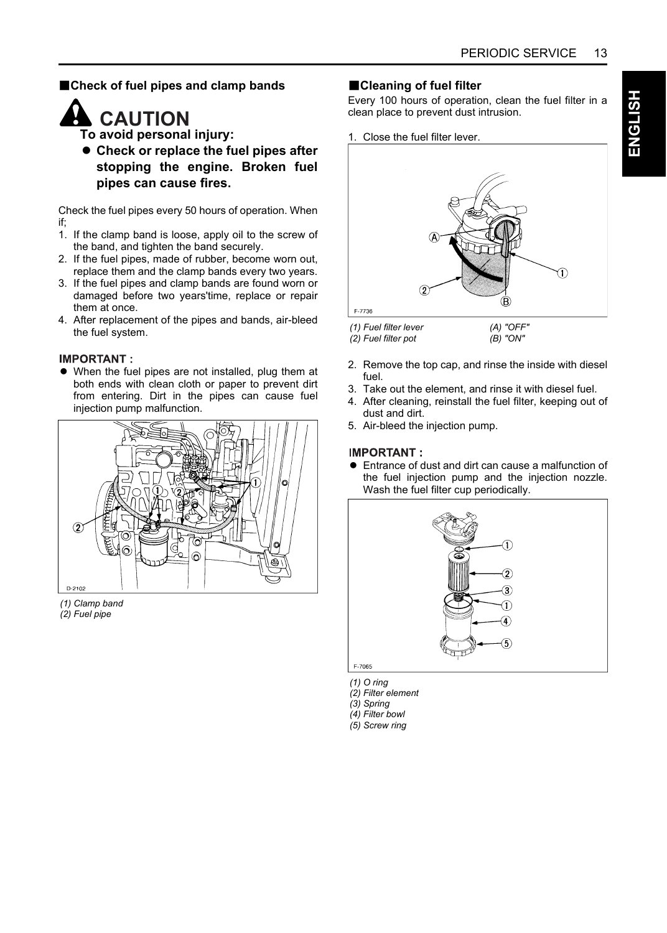#### $B$ **Check of fuel pipes and clamp bands**



**A** CAUTION

- **To avoid personal injury:**
- **Check or replace the fuel pipes after stopping the engine. Broken fuel pipes can cause fires.**

Check the fuel pipes every 50 hours of operation. When if;

- 1. If the clamp band is loose, apply oil to the screw of the band, and tighten the band securely.
- 2. If the fuel pipes, made of rubber, become worn out, replace them and the clamp bands every two years.
- 3. If the fuel pipes and clamp bands are found worn or damaged before two years'time, replace or repair them at once.
- 4. After replacement of the pipes and bands, air-bleed the fuel system.

#### **IMPORTANT:**

• When the fuel pipes are not installed, plug them at both ends with clean cloth or paper to prevent dirt from entering. Dirt in the pipes can cause fuel injection pump malfunction.



*(1) Clamp band (2) Fuel pipe*

#### **BCleaning of fuel filter**

Every 100 hours of operation, clean the fuel filter in a clean place to prevent dust intrusion.

1. Close the fuel filter lever.



*(1) Fuel filter lever*

- *(2) Fuel filter pot (B) "ON"*
- 2. Remove the top cap, and rinse the inside with diesel fuel.
- 3. Take out the element, and rinse it with diesel fuel.
- 4. After cleaning, reinstall the fuel filter, keeping out of dust and dirt.
- 5. Air-bleed the injection pump.

#### **IMPORTANT**

A Entrance of dust and dirt can cause a malfunction of the fuel injection pump and the injection nozzle. Wash the fuel filter cup periodically.



- *(1) O ring*
- *(2) Filter element*
- *(3) Spring*
- *(4) Filter bowl*
- *(5) Screw ring*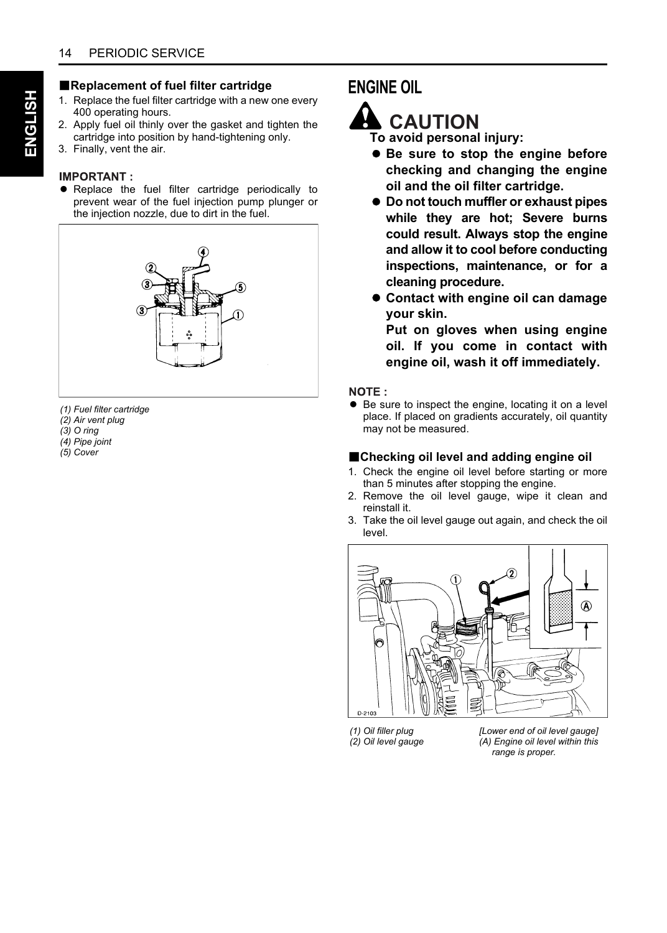#### B**Replacement of fuel filter cartridge**

- 1. Replace the fuel filter cartridge with a new one every 400 operating hours.
- 2. Apply fuel oil thinly over the gasket and tighten the cartridge into position by hand-tightening only.
- 3. Finally, vent the air.

#### **IMPORTANT:**

 $\bullet$  Replace the fuel filter cartridge periodically to prevent wear of the fuel injection pump plunger or the injection nozzle, due to dirt in the fuel.



*(1) Fuel filter cartridge*

- *(2) Air vent plug*
- *(3) O ring*
- *(4) Pipe joint (5) Cover*

#### **ENGINE OIL**



**To avoid personal injury:**

- A **Be sure to stop the engine before checking and changing the engine oil and the oil filter cartridge.**
- A **Do not touch muffler or exhaust pipes while they are hot; Severe burns could result. Always stop the engine and allow it to cool before conducting inspections, maintenance, or for a cleaning procedure.**
- A **Contact with engine oil can damage your skin.**

**Put on gloves when using engine oil. If you come in contact with engine oil, wash it off immediately.**

#### NOTF:

● Be sure to inspect the engine, locating it on a level place. If placed on gradients accurately, oil quantity may not be measured.

#### B**Checking oil level and adding engine oil**

- 1. Check the engine oil level before starting or more than 5 minutes after stopping the engine.
- 2. Remove the oil level gauge, wipe it clean and reinstall it.
- 3. Take the oil level gauge out again, and check the oil level.



*(1) Oil filler plug (2) Oil level gauge* *[Lower end of oil level gauge] (A) Engine oil level within this range is proper.*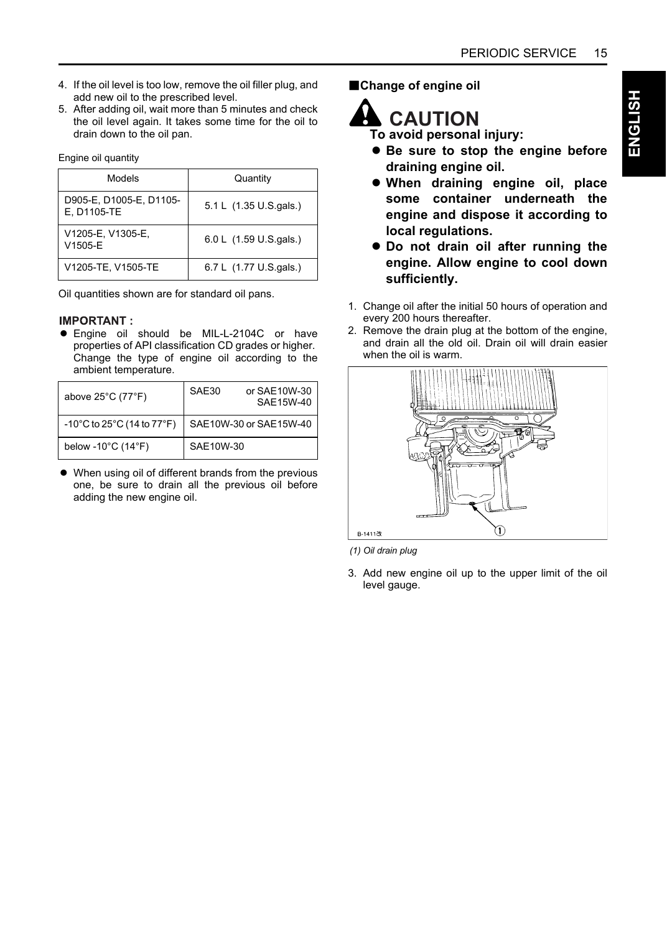- 4. If the oil level is too low, remove the oil filler plug, and add new oil to the prescribed level.
- 5. After adding oil, wait more than 5 minutes and check the oil level again. It takes some time for the oil to drain down to the oil pan.

Engine oil quantity

| Models                                 | Quantity               |
|----------------------------------------|------------------------|
| D905-E, D1005-E, D1105-<br>E, D1105-TE | 5.1 L (1.35 U.S.gals.) |
| V1205-E, V1305-E,<br>V1505-E           | 6.0 L (1.59 U.S.gals.) |
| V1205-TE, V1505-TE                     | 6.7 L (1.77 U.S.gals.) |

Oil quantities shown are for standard oil pans.

#### **IMPORTANT:**

**•** Engine oil should be MIL-L-2104C or have properties of API classification CD grades or higher. Change the type of engine oil according to the ambient temperature.

| above $25^{\circ}$ C (77 $^{\circ}$ F)                     | SAE30<br>or SAE10W-30<br>SAE15W-40 |
|------------------------------------------------------------|------------------------------------|
| $-10^{\circ}$ C to 25 $^{\circ}$ C (14 to 77 $^{\circ}$ F) | SAE10W-30 or SAE15W-40             |
| below -10 $^{\circ}$ C (14 $^{\circ}$ F)                   | SAE10W-30                          |

• When using oil of different brands from the previous one, be sure to drain all the previous oil before adding the new engine oil.

**BChange of engine oil** 



**To avoid personal injury:**

- $\bullet$  Be sure to stop the engine before **draining engine oil.**
- A **When draining engine oil, place some container underneath the engine and dispose it according to local regulations.**
- $\bullet$  Do not drain oil after running the **engine. Allow engine to cool down sufficiently.**
- 1. Change oil after the initial 50 hours of operation and every 200 hours thereafter.
- 2. Remove the drain plug at the bottom of the engine, and drain all the old oil. Drain oil will drain easier when the oil is warm.



*(1) Oil drain plug*

3. Add new engine oil up to the upper limit of the oil level gauge.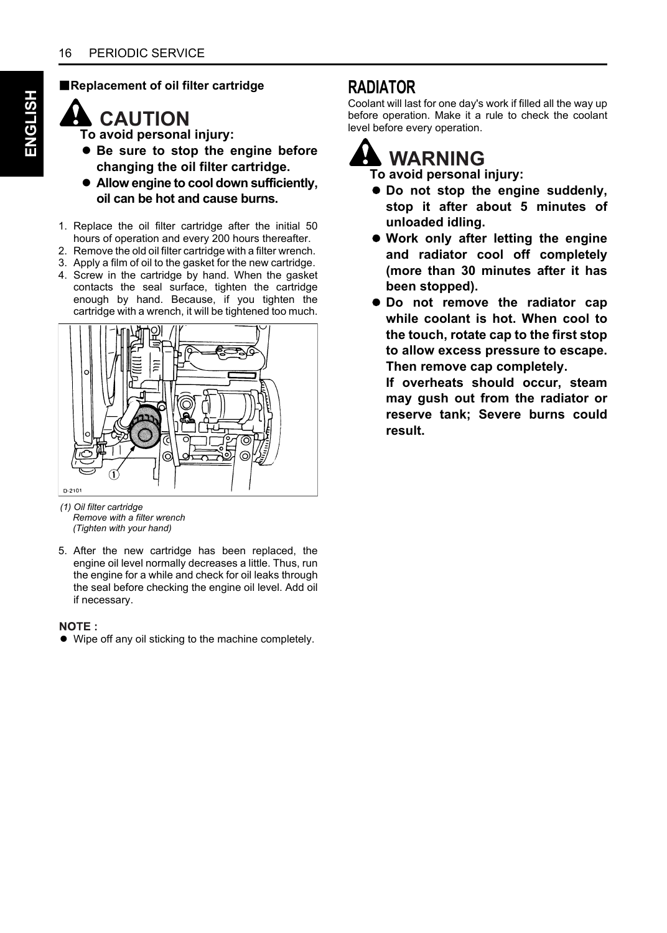#### B**Replacement of oil filter cartridge**

### **CAUTION**

**To avoid personal injury:**

- $\bullet$  Be sure to stop the engine before **changing the oil filter cartridge.**
- A **Allow engine to cool down sufficiently, oil can be hot and cause burns.**
- 1. Replace the oil filter cartridge after the initial 50 hours of operation and every 200 hours thereafter.
- 2. Remove the old oil filter cartridge with a filter wrench.
- 3. Apply a film of oil to the gasket for the new cartridge.
- 4. Screw in the cartridge by hand. When the gasket contacts the seal surface, tighten the cartridge enough by hand. Because, if you tighten the cartridge with a wrench, it will be tightened too much.



*(1) Oil filter cartridge Remove with a filter wrench (Tighten with your hand)*

5. After the new cartridge has been replaced, the engine oil level normally decreases a little. Thus, run the engine for a while and check for oil leaks through the seal before checking the engine oil level. Add oil if necessary.

#### NOTE:

• Wipe off any oil sticking to the machine completely.

#### **RADIATOR**

Coolant will last for one day's work if filled all the way up before operation. Make it a rule to check the coolant level before every operation.

### **WARNING**

**To avoid personal injury:**

- $\bullet$  Do not stop the engine suddenly, **stop it after about 5 minutes of unloaded idling.**
- $\bullet$  Work only after letting the engine **and radiator cool off completely (more than 30 minutes after it has been stopped).**
- $\bullet$  Do not remove the radiator cap **while coolant is hot. When cool to the touch, rotate cap to the first stop to allow excess pressure to escape. Then remove cap completely.**

**If overheats should occur, steam may gush out from the radiator or reserve tank; Severe burns could result.**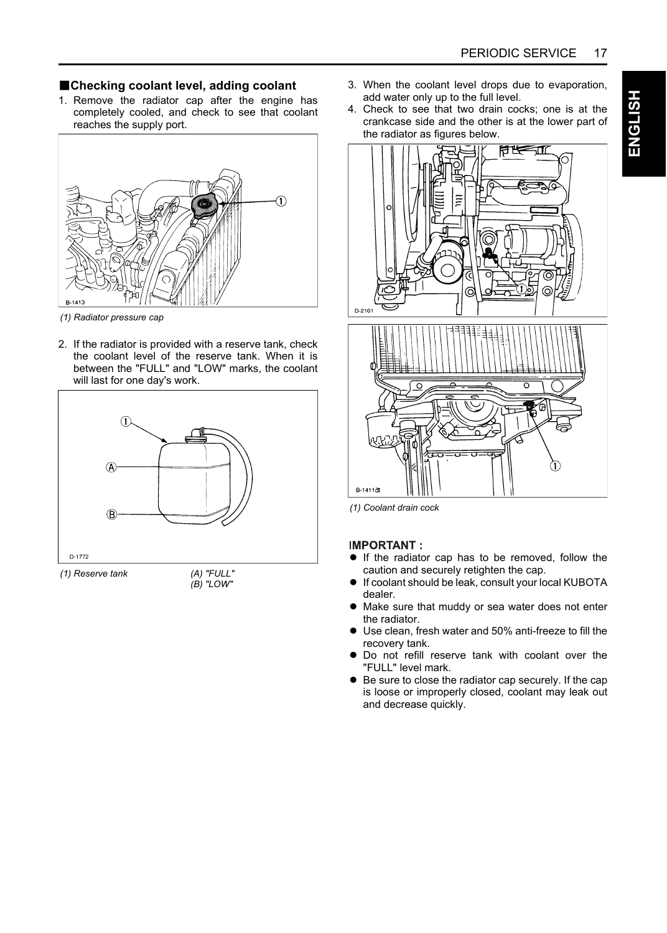#### B**Checking coolant level, adding coolant**

1. Remove the radiator cap after the engine has completely cooled, and check to see that coolant reaches the supply port.



*(1) Radiator pressure cap*

2. If the radiator is provided with a reserve tank, check the coolant level of the reserve tank. When it is between the "FULL" and "LOW" marks, the coolant will last for one day's work.



*(B) "LOW"*

- 3. When the coolant level drops due to evaporation, add water only up to the full level.
- 4. Check to see that two drain cocks; one is at the crankcase side and the other is at the lower part of the radiator as figures below.



*(1) Coolant drain cock*

#### **IMPORTANT:**

- $\bullet$  If the radiator cap has to be removed, follow the caution and securely retighten the cap.
- $\bullet$  If coolant should be leak, consult your local KUBOTA dealer.
- Make sure that muddy or sea water does not enter the radiator.
- Use clean, fresh water and 50% anti-freeze to fill the recovery tank.
- $\bullet$  Do not refill reserve tank with coolant over the "FULL" level mark.
- Be sure to close the radiator cap securely. If the cap is loose or improperly closed, coolant may leak out and decrease quickly.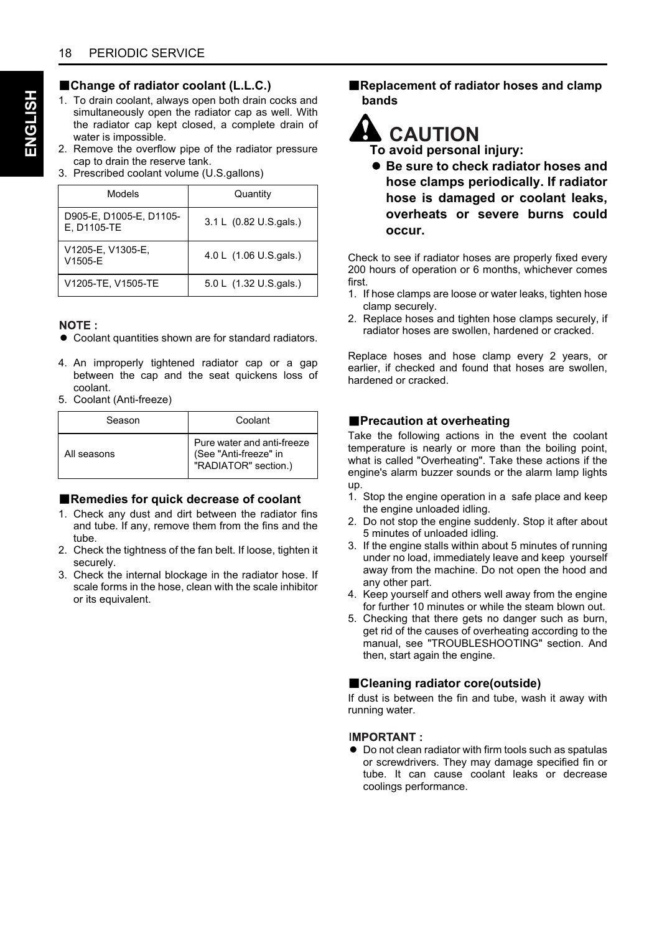#### **BChange of radiator coolant (L.L.C.)**

- 1. To drain coolant, always open both drain cocks and simultaneously open the radiator cap as well. With the radiator cap kept closed, a complete drain of water is impossible.
- 2. Remove the overflow pipe of the radiator pressure cap to drain the reserve tank.
- 3. Prescribed coolant volume (U.S.gallons)

| Models                                 | Quantity               |
|----------------------------------------|------------------------|
| D905-E, D1005-E, D1105-<br>E, D1105-TE | 3.1 L (0.82 U.S.gals.) |
| V1205-E, V1305-E,<br>V1505-E           | 4.0 L (1.06 U.S.gals.) |
| V1205-TE, V1505-TE                     | 5.0 L (1.32 U.S.gals.) |

#### NOTE:

- $\bullet$  Coolant quantities shown are for standard radiators.
- 4. An improperly tightened radiator cap or a gap between the cap and the seat quickens loss of coolant.
- 5. Coolant (Anti-freeze)

| Season      | Coolant                                                                     |
|-------------|-----------------------------------------------------------------------------|
| All seasons | Pure water and anti-freeze<br>(See "Anti-freeze" in<br>"RADIATOR" section.) |

#### ■**Remedies for quick decrease of coolant**

- 1. Check any dust and dirt between the radiator fins and tube. If any, remove them from the fins and the tube.
- 2. Check the tightness of the fan belt. If loose, tighten it securely.
- 3. Check the internal blockage in the radiator hose. If scale forms in the hose, clean with the scale inhibitor or its equivalent.

**E** Replacement of radiator hoses and clamp **bands**

### **A** CAUTION

**To avoid personal injury:**

A **Be sure to check radiator hoses and hose clamps periodically. If radiator hose is damaged or coolant leaks, overheats or severe burns could occur.** 

Check to see if radiator hoses are properly fixed every 200 hours of operation or 6 months, whichever comes first.

- 1. If hose clamps are loose or water leaks, tighten hose clamp securely.
- 2. Replace hoses and tighten hose clamps securely, if radiator hoses are swollen, hardened or cracked.

Replace hoses and hose clamp every 2 years, or earlier, if checked and found that hoses are swollen, hardened or cracked.

#### **Precaution at overheating**

Take the following actions in the event the coolant temperature is nearly or more than the boiling point, what is called "Overheating". Take these actions if the engine's alarm buzzer sounds or the alarm lamp lights up.

- 1. Stop the engine operation in a safe place and keep the engine unloaded idling.
- 2. Do not stop the engine suddenly. Stop it after about 5 minutes of unloaded idling.
- 3. If the engine stalls within about 5 minutes of running under no load, immediately leave and keep yourself away from the machine. Do not open the hood and any other part.
- 4. Keep yourself and others well away from the engine for further 10 minutes or while the steam blown out.
- 5. Checking that there gets no danger such as burn, get rid of the causes of overheating according to the manual, see "TROUBLESHOOTING" section. And then, start again the engine.

#### **BCleaning radiator core(outside)**

If dust is between the fin and tube, wash it away with running water.

#### **IMPORTANT:**

 $\bullet$  Do not clean radiator with firm tools such as spatulas or screwdrivers. They may damage specified fin or tube. It can cause coolant leaks or decrease coolings performance.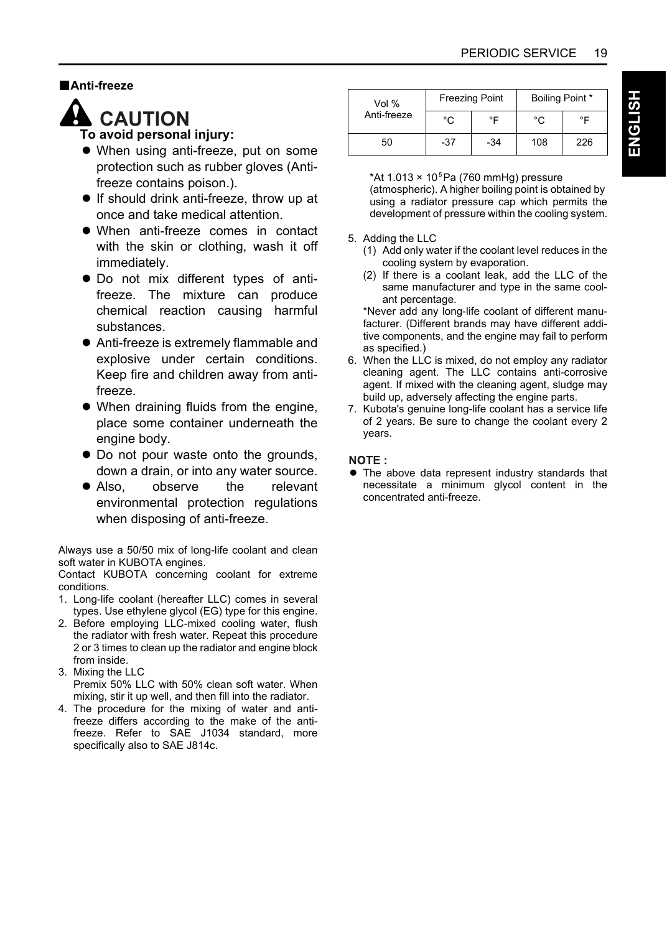#### B**Anti-freeze**



### **A** CAUTION

#### **To avoid personal injury:**

- When using anti-freeze, put on some protection such as rubber gloves (Antifreeze contains poison.).
- $\bullet$  If should drink anti-freeze, throw up at once and take medical attention.
- When anti-freeze comes in contact with the skin or clothing, wash it off immediately.
- $\bullet$  Do not mix different types of antifreeze. The mixture can produce chemical reaction causing harmful substances.
- Anti-freeze is extremely flammable and explosive under certain conditions. Keep fire and children away from antifreeze.
- $\bullet$  When draining fluids from the engine, place some container underneath the engine body.
- Do not pour waste onto the grounds, down a drain, or into any water source.
- Also, observe the relevant environmental protection regulations when disposing of anti-freeze.

Always use a 50/50 mix of long-life coolant and clean soft water in KUBOTA engines.

Contact KUBOTA concerning coolant for extreme conditions.

- 1. Long-life coolant (hereafter LLC) comes in several types. Use ethylene glycol (EG) type for this engine.
- 2. Before employing LLC-mixed cooling water, flush the radiator with fresh water. Repeat this procedure 2 or 3 times to clean up the radiator and engine block from inside.
- 3. Mixing the LLC

Premix 50% LLC with 50% clean soft water. When mixing, stir it up well, and then fill into the radiator.

4. The procedure for the mixing of water and antifreeze differs according to the make of the antifreeze. Refer to SAE J1034 standard, more specifically also to SAE J814c.

| Vol %       |       | <b>Freezing Point</b> | Boiling Point * |     |  |
|-------------|-------|-----------------------|-----------------|-----|--|
| Anti-freeze | °C    | ∘⊏                    | °۲              | °F  |  |
| 50          | $-37$ | $-34$                 | 108             | 226 |  |

\*At 1.013  $\times$  10<sup>5</sup> Pa (760 mmHg) pressure (atmospheric). A higher boiling point is obtained by using a radiator pressure cap which permits the development of pressure within the cooling system.

#### 5. Adding the LLC

- (1) Add only water if the coolant level reduces in the cooling system by evaporation.
- (2) If there is a coolant leak, add the LLC of the same manufacturer and type in the same coolant percentage.

\*Never add any long-life coolant of different manufacturer. (Different brands may have different additive components, and the engine may fail to perform as specified.)

- 6. When the LLC is mixed, do not employ any radiator cleaning agent. The LLC contains anti-corrosive agent. If mixed with the cleaning agent, sludge may build up, adversely affecting the engine parts.
- 7. Kubota's genuine long-life coolant has a service life of 2 years. Be sure to change the coolant every 2 years.

#### NOTE:

 $\bullet$  The above data represent industry standards that necessitate a minimum glycol content in the concentrated anti-freeze.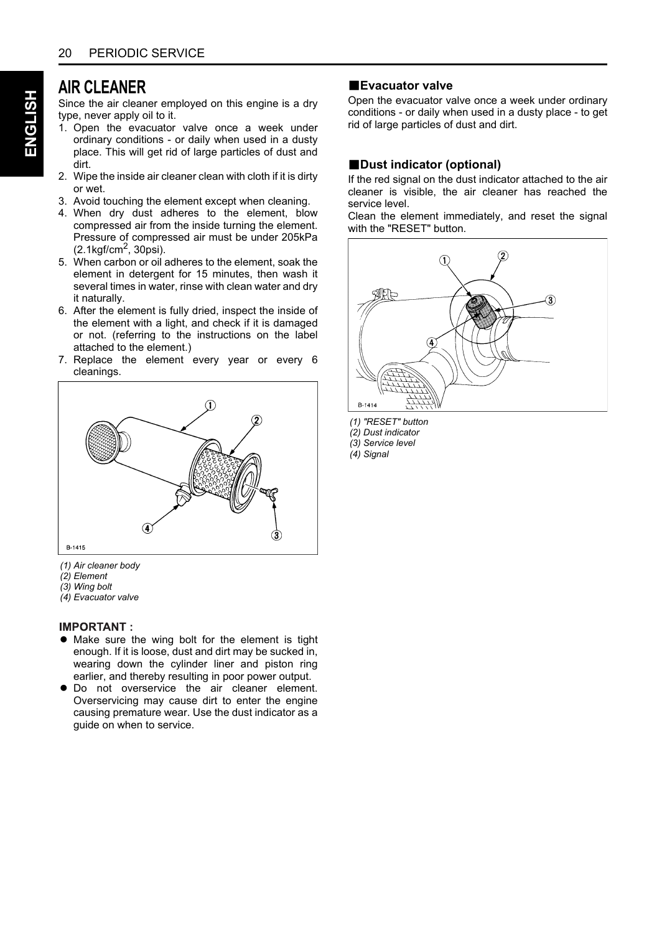#### **AIR CLEANER**

Since the air cleaner employed on this engine is a dry type, never apply oil to it.

- 1. Open the evacuator valve once a week under ordinary conditions - or daily when used in a dusty place. This will get rid of large particles of dust and dirt.
- 2. Wipe the inside air cleaner clean with cloth if it is dirty or wet.
- 3. Avoid touching the element except when cleaning.
- 4. When dry dust adheres to the element, blow compressed air from the inside turning the element. Pressure of compressed air must be under 205kPa<br>(2.1kgf/cm<sup>2</sup>, 30psi).
- 5. When carbon or oil adheres to the element, soak the element in detergent for 15 minutes, then wash it several times in water, rinse with clean water and dry it naturally.
- 6. After the element is fully dried, inspect the inside of the element with a light, and check if it is damaged or not. (referring to the instructions on the label attached to the element.)
- 7. Replace the element every year or every 6 cleanings.



- *(1) Air cleaner body*
- *(2) Element*
- *(3) Wing bolt*
- *(4) Evacuator valve*

#### **IMPORTANT:**

- Make sure the wing bolt for the element is tight enough. If it is loose, dust and dirt may be sucked in, wearing down the cylinder liner and piston ring earlier, and thereby resulting in poor power output.
- $\bullet$  Do not overservice the air cleaner element. Overservicing may cause dirt to enter the engine causing premature wear. Use the dust indicator as a guide on when to service.

#### **BEvacuator valve**

Open the evacuator valve once a week under ordinary conditions - or daily when used in a dusty place - to get rid of large particles of dust and dirt.

#### **B**Dust indicator (optional)

If the red signal on the dust indicator attached to the air cleaner is visible, the air cleaner has reached the service level.

Clean the element immediately, and reset the signal with the "RFSFT" button



- *(1) "RESET" button*
- *(2) Dust indicator*
- *(3) Service level*
- *(4) Signal*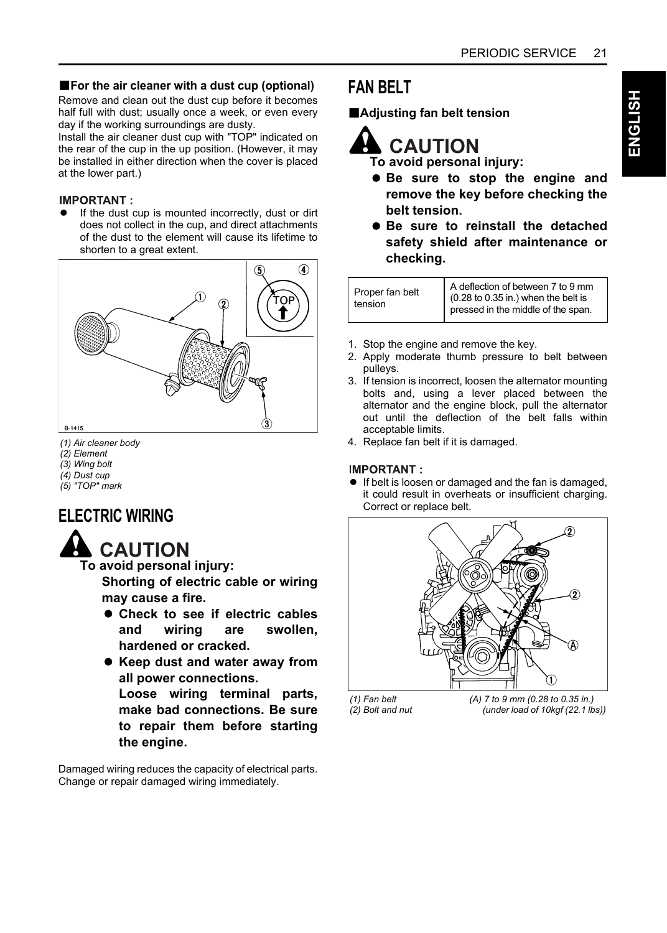**ENGLISH**

HSI⊤9N≣

#### **For the air cleaner with a dust cup (optional)**

Remove and clean out the dust cup before it becomes half full with dust; usually once a week, or even every day if the working surroundings are dusty.

Install the air cleaner dust cup with "TOP" indicated on the rear of the cup in the up position. (However, it may be installed in either direction when the cover is placed at the lower part.)

#### **IMPORTANT:**

If the dust cup is mounted incorrectly, dust or dirt does not collect in the cup, and direct attachments of the dust to the element will cause its lifetime to shorten to a great extent.



- *(1) Air cleaner body*
- *(2) Element*
- *(3) Wing bolt*
- *(4) Dust cup*
- *(5) "TOP" mark*

#### **ELECTRIC WIRING**



**To avoid personal injury: Shorting of electric cable or wiring**

**may cause a fire.**

- $\bullet$  **Check to see if electric cables and wiring are swollen, hardened or cracked.**
- **Keep dust and water away from all power connections.**

**Loose wiring terminal parts, make bad connections. Be sure to repair them before starting the engine.**

Damaged wiring reduces the capacity of electrical parts. Change or repair damaged wiring immediately.

#### **FAN BELT**

B**Adjusting fan belt tension**

**CAUTION**

- **To avoid personal injury:**
- A **Be sure to stop the engine and remove the key before checking the belt tension.**
- $\bullet$  Be sure to reinstall the detached **safety shield after maintenance or checking.**

| A deflection of between 7 to 9 mm<br>Proper fan belt<br>$(0.28 \text{ to } 0.35 \text{ in.})$ when the belt is<br>tension |
|---------------------------------------------------------------------------------------------------------------------------|
|---------------------------------------------------------------------------------------------------------------------------|

- 1. Stop the engine and remove the key.
- 2. Apply moderate thumb pressure to belt between pulleys.
- 3. If tension is incorrect, loosen the alternator mounting bolts and, using a lever placed between the alternator and the engine block, pull the alternator out until the deflection of the belt falls within acceptable limits.
- 4. Replace fan belt if it is damaged.

#### **IMPORTANT:**

**•** If belt is loosen or damaged and the fan is damaged, it could result in overheats or insufficient charging. Correct or replace belt.

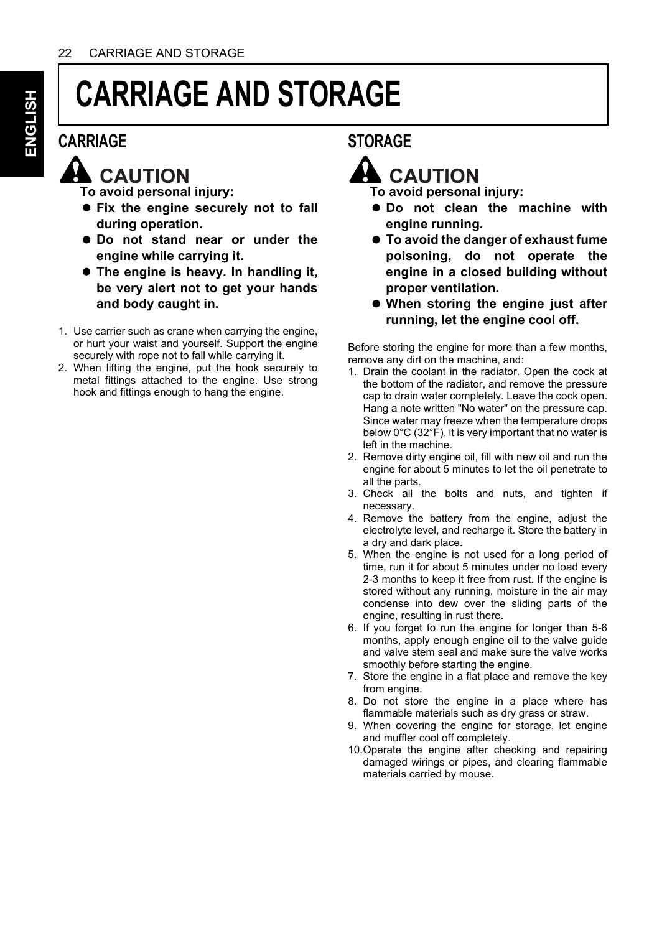## **CARRIAGE AND STORAGE**

#### **CARRIAGE**

### **A** CAUTION

**To avoid personal injury:**

- $\bullet$  Fix the engine securely not to fall **during operation.**
- $\bullet$  Do not stand near or under the **engine while carrying it.**
- A **The engine is heavy. In handling it, be very alert not to get your hands and body caught in.**
- 1. Use carrier such as crane when carrying the engine, or hurt your waist and yourself. Support the engine securely with rope not to fall while carrying it.
- 2. When lifting the engine, put the hook securely to metal fittings attached to the engine. Use strong hook and fittings enough to hang the engine.

#### **STORAGE**

### **CAUTION**

**To avoid personal injury:**

- $\bullet$  Do not clean the machine with **engine running.**
- A **To avoid the danger of exhaust fume poisoning, do not operate the engine in a closed building without proper ventilation.**
- A **When storing the engine just after running, let the engine cool off.**

Before storing the engine for more than a few months, remove any dirt on the machine, and:

- 1. Drain the coolant in the radiator. Open the cock at the bottom of the radiator, and remove the pressure cap to drain water completely. Leave the cock open. Hang a note written "No water" on the pressure cap. Since water may freeze when the temperature drops below 0°C (32°F), it is very important that no water is left in the machine.
- 2. Remove dirty engine oil, fill with new oil and run the engine for about 5 minutes to let the oil penetrate to all the parts.
- 3. Check all the bolts and nuts, and tighten if necessary.
- 4. Remove the battery from the engine, adjust the electrolyte level, and recharge it. Store the battery in a dry and dark place.
- 5. When the engine is not used for a long period of time, run it for about 5 minutes under no load every 2-3 months to keep it free from rust. If the engine is stored without any running, moisture in the air may condense into dew over the sliding parts of the engine, resulting in rust there.
- 6. If you forget to run the engine for longer than 5-6 months, apply enough engine oil to the valve guide and valve stem seal and make sure the valve works smoothly before starting the engine.
- 7. Store the engine in a flat place and remove the key from engine.
- 8. Do not store the engine in a place where has flammable materials such as dry grass or straw.
- 9. When covering the engine for storage, let engine and muffler cool off completely.
- 10.Operate the engine after checking and repairing damaged wirings or pipes, and clearing flammable materials carried by mouse.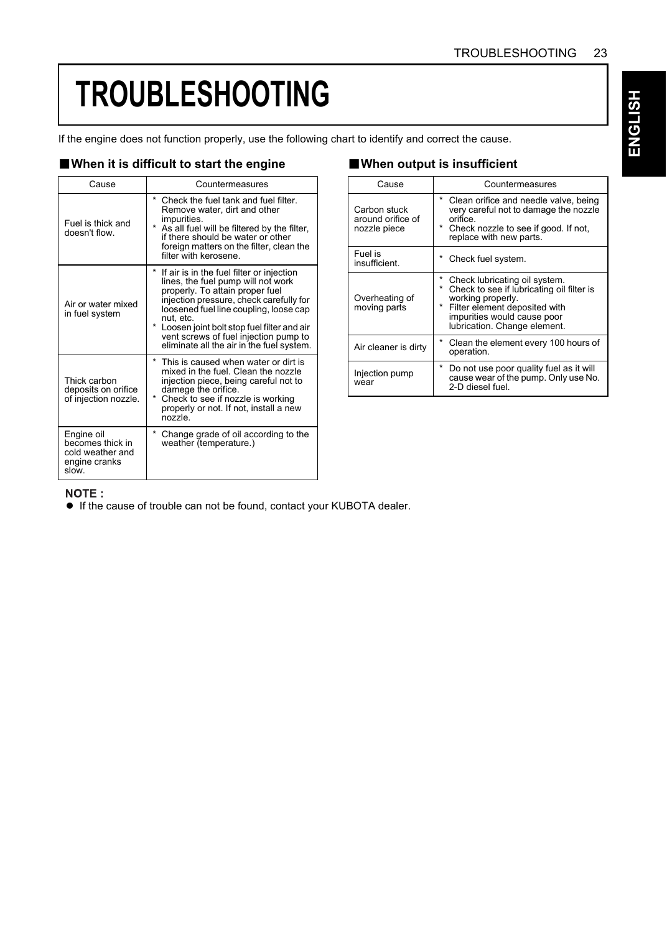## **TROUBLESHOOTING**

If the engine does not function properly, use the following chart to identify and correct the cause.

#### ■ When it is difficult to start the engine ■ When output is insufficient

| Cause                                                                        | Countermeasures                                                                                                                                                                                                                                                                                                                                                          |
|------------------------------------------------------------------------------|--------------------------------------------------------------------------------------------------------------------------------------------------------------------------------------------------------------------------------------------------------------------------------------------------------------------------------------------------------------------------|
| Fuel is thick and<br>doesn't flow                                            | $\star$<br>Check the fuel tank and fuel filter.<br>Remove water, dirt and other<br>impurities.<br>$\star$<br>As all fuel will be filtered by the filter,<br>if there should be water or other<br>foreign matters on the filter, clean the<br>filter with kerosene                                                                                                        |
| Air or water mixed<br>in fuel system                                         | *<br>If air is in the fuel filter or injection<br>lines, the fuel pump will not work<br>properly. To attain proper fuel<br>injection pressure, check carefully for<br>loosened fuel line coupling, loose cap<br>nut. etc.<br>$\star$<br>Loosen joint bolt stop fuel filter and air<br>vent screws of fuel injection pump to<br>eliminate all the air in the fuel system. |
| Thick carbon<br>deposits on orifice<br>of injection nozzle.                  | $\star$<br>This is caused when water or dirt is<br>mixed in the fuel. Clean the nozzle<br>injection piece, being careful not to<br>damege the orifice.<br>$\star$<br>Check to see if nozzle is working<br>properly or not. If not, install a new<br>nozzle                                                                                                               |
| Engine oil<br>becomes thick in<br>cold weather and<br>engine cranks<br>slow. | $\star$<br>Change grade of oil according to the<br>weather (temperature.)                                                                                                                                                                                                                                                                                                |

| Cause                                             | Countermeasures                                                                                                                                                                                       |
|---------------------------------------------------|-------------------------------------------------------------------------------------------------------------------------------------------------------------------------------------------------------|
| Carbon stuck<br>around orifice of<br>nozzle piece | * Clean orifice and needle valve, being<br>very careful not to damage the nozzle<br>orifice.<br>* Check nozzle to see if good. If not,<br>replace with new parts.                                     |
| Fuel is<br>insufficient.                          | * Check fuel system.                                                                                                                                                                                  |
| Overheating of<br>moving parts                    | * Check lubricating oil system.<br>* Check to see if lubricating oil filter is<br>working properly.<br>* Filter element deposited with<br>impurities would cause poor<br>lubrication. Change element. |
| Air cleaner is dirty                              | * Clean the element every 100 hours of<br>operation.                                                                                                                                                  |
| Injection pump<br>wear                            | *<br>Do not use poor quality fuel as it will<br>cause wear of the pump. Only use No.<br>2-D diesel fuel.                                                                                              |

#### NOTE:

A If the cause of trouble can not be found, contact your KUBOTA dealer.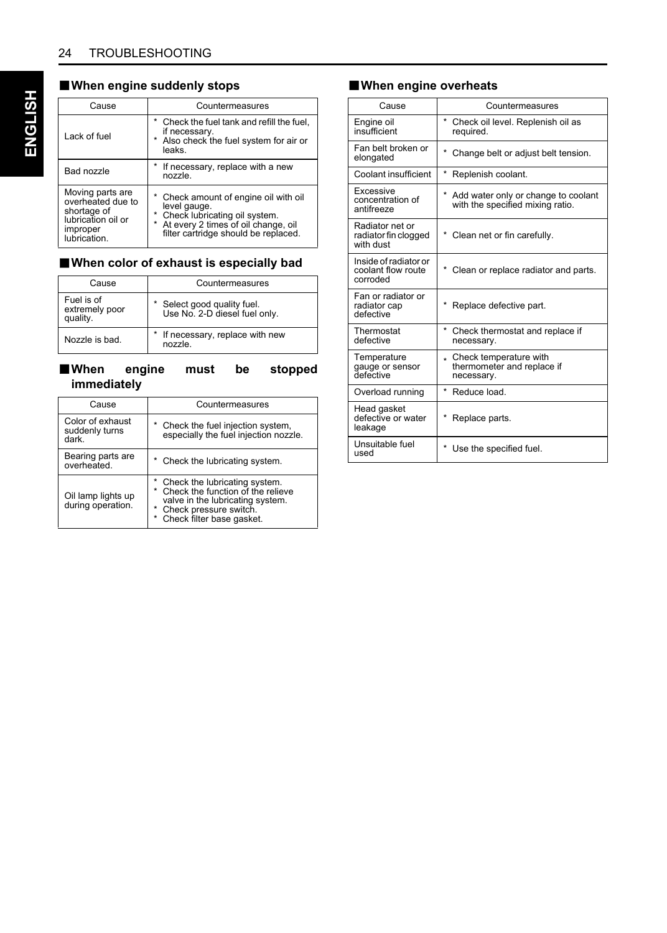#### B**When engine suddenly stops**

| Cause                                                                                                  | Countermeasures                                                                                                                                                                    |  |  |
|--------------------------------------------------------------------------------------------------------|------------------------------------------------------------------------------------------------------------------------------------------------------------------------------------|--|--|
| Lack of fuel                                                                                           | * Check the fuel tank and refill the fuel.<br>if necessary.<br>* Also check the fuel system for air or<br>leaks.                                                                   |  |  |
| Bad nozzle                                                                                             | If necessary, replace with a new<br>nozzle.                                                                                                                                        |  |  |
| Moving parts are<br>overheated due to<br>shortage of<br>lubrication oil or<br>improper<br>lubrication. | * Check amount of engine oil with oil<br>level gauge.<br>* Check lubricating oil system.<br>At every 2 times of oil change, oil<br>$\star$<br>filter cartridge should be replaced. |  |  |

#### B**When color of exhaust is especially bad**

| Cause                                    | Countermeasures                                            |
|------------------------------------------|------------------------------------------------------------|
| Fuel is of<br>extremely poor<br>quality. | Select good quality fuel.<br>Use No. 2-D diesel fuel only. |
| Nozzle is bad.                           | If necessary, replace with new<br>nozzle.                  |

#### B**When engine must be stopped immediately**

| Cause                                       | Countermeasures                                                                                                                                                     |  |  |
|---------------------------------------------|---------------------------------------------------------------------------------------------------------------------------------------------------------------------|--|--|
| Color of exhaust<br>suddenly turns<br>dark. | * Check the fuel injection system,<br>especially the fuel injection nozzle.                                                                                         |  |  |
| Bearing parts are<br>overheated.            | * Check the lubricating system.                                                                                                                                     |  |  |
| Oil lamp lights up<br>during operation.     | * Check the lubricating system.<br>* Check the function of the relieve<br>valve in the lubricating system.<br>* Check pressure switch.<br>Check filter base gasket. |  |  |

#### B**When engine overheats**

| Cause                                                   | Countermeasures                                                               |
|---------------------------------------------------------|-------------------------------------------------------------------------------|
| Engine oil<br>insufficient                              | *<br>Check oil level. Replenish oil as<br>required.                           |
| Fan belt broken or<br>elongated                         | $\star$<br>Change belt or adjust belt tension.                                |
| Coolant insufficient                                    | $^{\star}$<br>Replenish coolant.                                              |
| Excessive<br>concentration of<br>antifreeze             | * Add water only or change to coolant<br>with the specified mixing ratio.     |
| Radiator net or<br>radiator fin clogged<br>with dust    | * Clean net or fin carefully.                                                 |
| Inside of radiator or<br>coolant flow route<br>corroded | * Clean or replace radiator and parts.                                        |
| Fan or radiator or<br>radiator cap<br>defective         | Replace defective part.                                                       |
| Thermostat<br>defective                                 | $\star$<br>Check thermostat and replace if<br>necessary.                      |
| Temperature<br>gauge or sensor<br>defective             | Check temperature with<br>$\star$<br>thermometer and replace if<br>necessary. |
| Overload running                                        | $\star$<br>Reduce load.                                                       |
| Head gasket<br>defective or water<br>leakage            | Replace parts.                                                                |
| Unsuitable fuel<br>used                                 | Use the specified fuel.                                                       |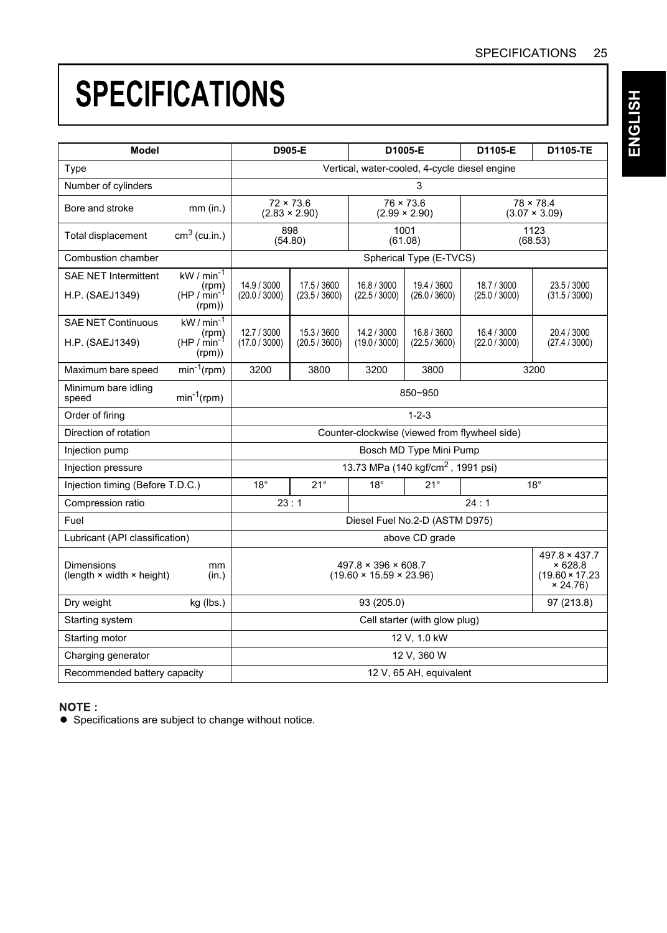# **SPECIFICATIONS**

| Model                                                        |                                                              | D905-E<br>D1005-E<br>D1105-E                                                                                                                               |                                          |                            | D1105-TE                                       |                              |                                          |
|--------------------------------------------------------------|--------------------------------------------------------------|------------------------------------------------------------------------------------------------------------------------------------------------------------|------------------------------------------|----------------------------|------------------------------------------------|------------------------------|------------------------------------------|
| Type                                                         |                                                              | Vertical, water-cooled, 4-cycle diesel engine                                                                                                              |                                          |                            |                                                |                              |                                          |
| Number of cylinders                                          |                                                              | 3                                                                                                                                                          |                                          |                            |                                                |                              |                                          |
| Bore and stroke                                              | mm (in.)                                                     |                                                                                                                                                            | $72 \times 73.6$<br>$(2.83 \times 2.90)$ |                            | $76 \times 73.6$<br>$(2.99 \times 2.90)$       |                              | $78 \times 78.4$<br>$(3.07 \times 3.09)$ |
| <b>Total displacement</b>                                    | $cm3$ (cu.in.)                                               |                                                                                                                                                            | 898<br>(54.80)                           |                            | 1001<br>(61.08)                                | 1123<br>(68.53)              |                                          |
| Combustion chamber                                           |                                                              |                                                                                                                                                            |                                          |                            | Spherical Type (E-TVCS)                        |                              |                                          |
| <b>SAE NET Intermittent</b><br>H.P. (SAEJ1349)               | kW / $min-1$<br>(rpm)<br>$(HP / min^{-1})$<br>(rpm))         | 14.9 / 3000<br>17.5 / 3600<br>16.8 / 3000<br>19.4 / 3600<br>18.7 / 3000<br>(20.0 / 3000)<br>(26.0 / 3600)<br>(23.5 / 3600)<br>(22.5/3000)<br>(25.0 / 3000) |                                          |                            |                                                | 23.5 / 3000<br>(31.5 / 3000) |                                          |
| <b>SAE NET Continuous</b><br>H.P. (SAEJ1349)                 | $kW/min^{-1}$<br>(rpm)<br>HP / min <sup>-1</sup> )<br>(rpm)) | 12.7 / 3000<br>(17.0 / 3000)                                                                                                                               | 15.3 / 3600<br>(20.5 / 3600)             | 14.2 / 3000<br>(19.0/3000) | 16.8 / 3600<br>(22.5/3600)                     | 16.4 / 3000<br>(22.0 / 3000) | 20.4 / 3000<br>(27.4 / 3000)             |
| Maximum bare speed                                           | $min^{-1}(rpm)$                                              | 3200                                                                                                                                                       | 3800                                     | 3200                       | 3800                                           |                              | 3200                                     |
| Minimum bare idling<br>speed                                 | $min^{-1}(rpm)$                                              |                                                                                                                                                            |                                          |                            | 850~950                                        |                              |                                          |
| Order of firing                                              |                                                              |                                                                                                                                                            |                                          |                            | $1 - 2 - 3$                                    |                              |                                          |
| Direction of rotation                                        |                                                              | Counter-clockwise (viewed from flywheel side)                                                                                                              |                                          |                            |                                                |                              |                                          |
| Injection pump                                               |                                                              |                                                                                                                                                            |                                          |                            | Bosch MD Type Mini Pump                        |                              |                                          |
| Injection pressure                                           |                                                              |                                                                                                                                                            |                                          |                            | 13.73 MPa (140 kgf/cm <sup>2</sup> , 1991 psi) |                              |                                          |
| Injection timing (Before T.D.C.)                             |                                                              | $18^\circ$                                                                                                                                                 | $21^\circ$                               | $18^\circ$                 | $21^{\circ}$                                   |                              | $18^\circ$                               |
| Compression ratio                                            |                                                              | 23:1                                                                                                                                                       |                                          |                            |                                                | 24:1                         |                                          |
| Fuel                                                         |                                                              |                                                                                                                                                            |                                          |                            | Diesel Fuel No.2-D (ASTM D975)                 |                              |                                          |
| Lubricant (API classification)                               |                                                              |                                                                                                                                                            |                                          |                            | above CD grade                                 |                              |                                          |
| <b>Dimensions</b><br>(length $\times$ width $\times$ height) | mm<br>(in.)                                                  | $497.8 \times 396 \times 608.7$<br>× 628.8<br>$(19.60 \times 15.59 \times 23.96)$<br>× 24.76                                                               |                                          |                            | 497.8 × 437.7<br>$(19.60 \times 17.23)$        |                              |                                          |
| Dry weight                                                   | kg (lbs.)                                                    | 93 (205.0)                                                                                                                                                 |                                          |                            | 97 (213.8)                                     |                              |                                          |
| Starting system                                              |                                                              | Cell starter (with glow plug)                                                                                                                              |                                          |                            |                                                |                              |                                          |
| Starting motor                                               |                                                              | 12 V, 1.0 kW                                                                                                                                               |                                          |                            |                                                |                              |                                          |
| Charging generator                                           |                                                              | 12 V. 360 W                                                                                                                                                |                                          |                            |                                                |                              |                                          |
| Recommended battery capacity                                 |                                                              | 12 V, 65 AH, equivalent                                                                                                                                    |                                          |                            |                                                |                              |                                          |

#### NOTE:

A Specifications are subject to change without notice.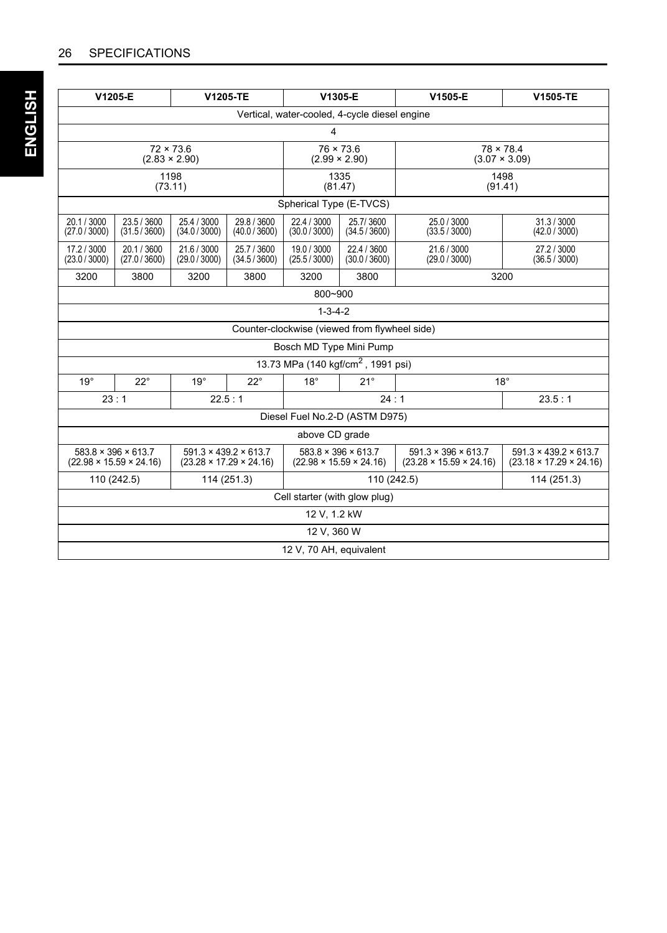|                                               | V1205-E                                                                | V1205-TE                                 |                                                                                                                                                                                                                                                                                                          | V1305-E                                        |                              | V1505-E                      | V1505-TE                     |  |  |
|-----------------------------------------------|------------------------------------------------------------------------|------------------------------------------|----------------------------------------------------------------------------------------------------------------------------------------------------------------------------------------------------------------------------------------------------------------------------------------------------------|------------------------------------------------|------------------------------|------------------------------|------------------------------|--|--|
| Vertical, water-cooled, 4-cycle diesel engine |                                                                        |                                          |                                                                                                                                                                                                                                                                                                          |                                                |                              |                              |                              |  |  |
|                                               |                                                                        |                                          |                                                                                                                                                                                                                                                                                                          | 4                                              |                              |                              |                              |  |  |
| $72 \times 73.6$<br>$(2.83 \times 2.90)$      |                                                                        | $76 \times 73.6$<br>$(2.99 \times 2.90)$ |                                                                                                                                                                                                                                                                                                          | $78 \times 78.4$<br>$(3.07 \times 3.09)$       |                              |                              |                              |  |  |
|                                               |                                                                        | 1198<br>(73.11)                          |                                                                                                                                                                                                                                                                                                          | 1335<br>(81.47)                                |                              | 1498<br>(91.41)              |                              |  |  |
|                                               |                                                                        |                                          |                                                                                                                                                                                                                                                                                                          | Spherical Type (E-TVCS)                        |                              |                              |                              |  |  |
| 20.1 / 3000<br>(27.0 / 3000)                  | 23.5 / 3600<br>(31.5/3600)                                             | 25.4 / 3000<br>(34.0 / 3000)             | 29.8 / 3600<br>(40.0 / 3600)                                                                                                                                                                                                                                                                             | 22.4 / 3000<br>(30.0 / 3000)                   | 25.7/3600<br>(34.5/3600)     | 25.0 / 3000<br>(33.5 / 3000) | 31.3/3000<br>(42.0 / 3000)   |  |  |
| 17.2 / 3000<br>(23.0 / 3000)                  | 20.1 / 3600<br>(27.0 / 3600)                                           | 21.6 / 3000<br>(29.0 / 3000)             | 25.7 / 3600<br>(34.5/3600)                                                                                                                                                                                                                                                                               | 19.0 / 3000<br>(25.5/3000)                     | 22.4 / 3600<br>(30.0 / 3600) | 21.6 / 3000<br>(29.0 / 3000) | 27.2 / 3000<br>(36.5 / 3000) |  |  |
| 3200                                          | 3800                                                                   | 3200                                     | 3800                                                                                                                                                                                                                                                                                                     | 3200                                           | 3800                         |                              | 3200                         |  |  |
|                                               |                                                                        |                                          |                                                                                                                                                                                                                                                                                                          | 800~900                                        |                              |                              |                              |  |  |
|                                               |                                                                        |                                          |                                                                                                                                                                                                                                                                                                          | $1 - 3 - 4 - 2$                                |                              |                              |                              |  |  |
|                                               |                                                                        |                                          |                                                                                                                                                                                                                                                                                                          | Counter-clockwise (viewed from flywheel side)  |                              |                              |                              |  |  |
|                                               |                                                                        |                                          |                                                                                                                                                                                                                                                                                                          | Bosch MD Type Mini Pump                        |                              |                              |                              |  |  |
|                                               |                                                                        |                                          |                                                                                                                                                                                                                                                                                                          | 13.73 MPa (140 kgf/cm <sup>2</sup> , 1991 psi) |                              |                              |                              |  |  |
| $19^\circ$                                    | $22^{\circ}$                                                           | $19^\circ$                               | $22^{\circ}$                                                                                                                                                                                                                                                                                             | $18^\circ$                                     | $21^\circ$                   |                              | $18^\circ$                   |  |  |
|                                               | 23:1<br>22.5:1                                                         |                                          |                                                                                                                                                                                                                                                                                                          |                                                | 24:1                         |                              | 23.5:1                       |  |  |
|                                               |                                                                        |                                          |                                                                                                                                                                                                                                                                                                          | Diesel Fuel No.2-D (ASTM D975)                 |                              |                              |                              |  |  |
| above CD grade                                |                                                                        |                                          |                                                                                                                                                                                                                                                                                                          |                                                |                              |                              |                              |  |  |
|                                               | $583.8 \times 396 \times 613.7$<br>$(22.98 \times 15.59 \times 24.16)$ |                                          | $583.8 \times 396 \times 613.7$<br>$591.3 \times 439.2 \times 613.7$<br>$591.3 \times 396 \times 613.7$<br>$591.3 \times 439.2 \times 613.7$<br>$(22.98 \times 15.59 \times 24.16)$<br>$(23.28 \times 15.59 \times 24.16)$<br>$(23.18 \times 17.29 \times 24.16)$<br>$(23.28 \times 17.29 \times 24.16)$ |                                                |                              |                              |                              |  |  |
|                                               | 110 (242.5)                                                            | 114 (251.3)                              |                                                                                                                                                                                                                                                                                                          | 114 (251.3)<br>110 (242.5)                     |                              |                              |                              |  |  |
| Cell starter (with glow plug)                 |                                                                        |                                          |                                                                                                                                                                                                                                                                                                          |                                                |                              |                              |                              |  |  |
| 12 V, 1.2 kW                                  |                                                                        |                                          |                                                                                                                                                                                                                                                                                                          |                                                |                              |                              |                              |  |  |
| 12 V. 360 W                                   |                                                                        |                                          |                                                                                                                                                                                                                                                                                                          |                                                |                              |                              |                              |  |  |
| 12 V, 70 AH, equivalent                       |                                                                        |                                          |                                                                                                                                                                                                                                                                                                          |                                                |                              |                              |                              |  |  |